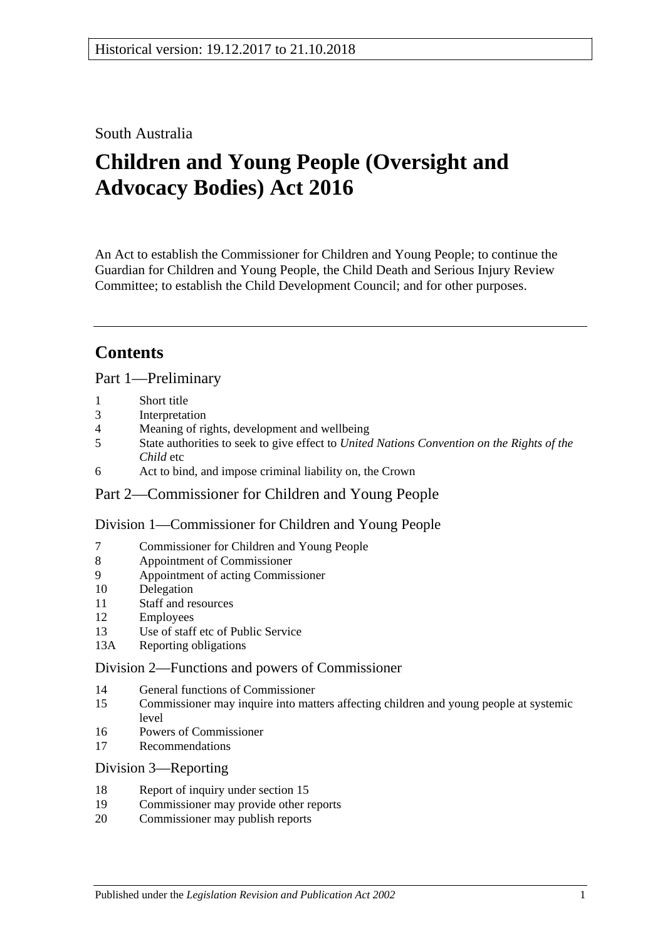South Australia

# **Children and Young People (Oversight and Advocacy Bodies) Act 2016**

An Act to establish the Commissioner for Children and Young People; to continue the Guardian for Children and Young People, the Child Death and Serious Injury Review Committee; to establish the Child Development Council; and for other purposes.

# **Contents**

Part [1—Preliminary](#page-2-0)

- 1 [Short title](#page-2-1)
- 3 [Interpretation](#page-2-2)
- 4 [Meaning of rights, development and wellbeing](#page-3-0)
- 5 State authorities to seek to give effect to *[United Nations Convention on the Rights of the](#page-4-0)  [Child](#page-4-0)* etc
- 6 [Act to bind, and impose criminal liability](#page-4-1) on, the Crown

## Part [2—Commissioner for Children and Young People](#page-4-2)

Division [1—Commissioner for Children and Young People](#page-4-3)

- 7 [Commissioner for Children and Young People](#page-4-4)
- 8 [Appointment of Commissioner](#page-4-5)
- 9 [Appointment of acting Commissioner](#page-6-0)
- 10 [Delegation](#page-6-1)
- 11 [Staff and resources](#page-6-2)
- 12 [Employees](#page-6-3)
- 13 [Use of staff etc of Public Service](#page-6-4)
- 13A [Reporting obligations](#page-7-0)

#### Division [2—Functions and powers of Commissioner](#page-7-1)

- 14 [General functions of Commissioner](#page-7-2)
- 15 [Commissioner may inquire into matters affecting children and young people at systemic](#page-7-3)  [level](#page-7-3)
- 16 [Powers of Commissioner](#page-8-0)
- 17 [Recommendations](#page-9-0)

#### Division [3—Reporting](#page-10-0)

- 18 [Report of inquiry under section](#page-10-1) 15
- 19 [Commissioner may provide other reports](#page-10-2)
- 20 [Commissioner may publish reports](#page-10-3)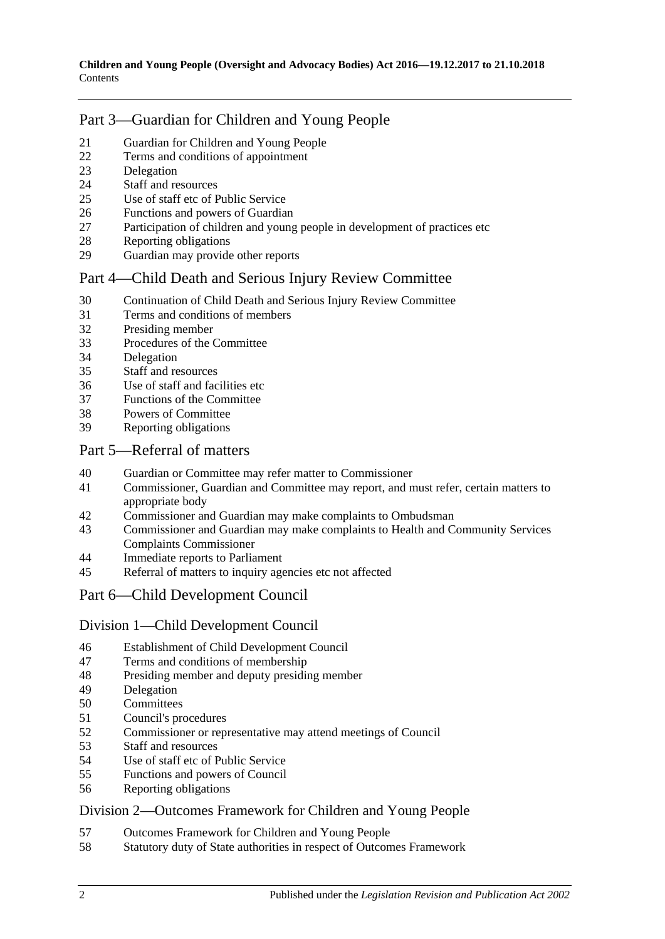## Part [3—Guardian for Children and Young People](#page-10-4)

- [Guardian for Children and Young People](#page-10-5)
- [Terms and conditions of appointment](#page-11-0)
- [Delegation](#page-12-0)
- [Staff and resources](#page-12-1)
- [Use of staff etc of Public Service](#page-12-2)
- [Functions and powers of Guardian](#page-12-3)
- [Participation of children and young people in development of practices etc](#page-13-0)
- [Reporting obligations](#page-13-1)
- [Guardian may provide other reports](#page-13-2)

## Part [4—Child Death and Serious Injury Review Committee](#page-14-0)

- [Continuation of Child Death and Serious Injury Review Committee](#page-14-1)
- [Terms and conditions of members](#page-14-2)
- [Presiding member](#page-15-0)
- [Procedures of the Committee](#page-15-1)
- [Delegation](#page-15-2)
- [Staff and resources](#page-15-3)
- [Use of staff and facilities etc](#page-16-0)
- [Functions of the Committee](#page-16-1)
- [Powers of Committee](#page-17-0)<br>39 Reporting obligations
- [Reporting obligations](#page-17-1)

#### Part [5—Referral of matters](#page-18-0)

- [Guardian or Committee may refer matter to Commissioner](#page-18-1)
- [Commissioner, Guardian and Committee may report, and must refer, certain matters to](#page-18-2)  [appropriate body](#page-18-2)
- [Commissioner and Guardian may make complaints to Ombudsman](#page-18-3)
- [Commissioner and Guardian may make complaints to Health and Community Services](#page-19-0)  [Complaints Commissioner](#page-19-0)
- [Immediate reports to Parliament](#page-19-1)
- [Referral of matters to inquiry agencies etc not affected](#page-20-0)

## Part [6—Child Development Council](#page-20-1)

#### Division [1—Child Development Council](#page-20-2)

- [Establishment of Child Development Council](#page-20-3)
- [Terms and conditions of membership](#page-20-4)
- [Presiding member and deputy presiding member](#page-21-0)
- [Delegation](#page-21-1)
- [Committees](#page-22-0)
- [Council's procedures](#page-22-1)<br>52 Commissioner or rep
- [Commissioner or representative may attend meetings of Council](#page-23-0)
- [Staff and resources](#page-23-1)
- [Use of staff etc of Public Service](#page-23-2)
- [Functions and powers of Council](#page-23-3)
- [Reporting obligations](#page-24-0)

## Division [2—Outcomes Framework for Children and Young People](#page-24-1)

- [Outcomes Framework for Children and Young People](#page-24-2)
- [Statutory duty of State authorities in respect of Outcomes Framework](#page-25-0)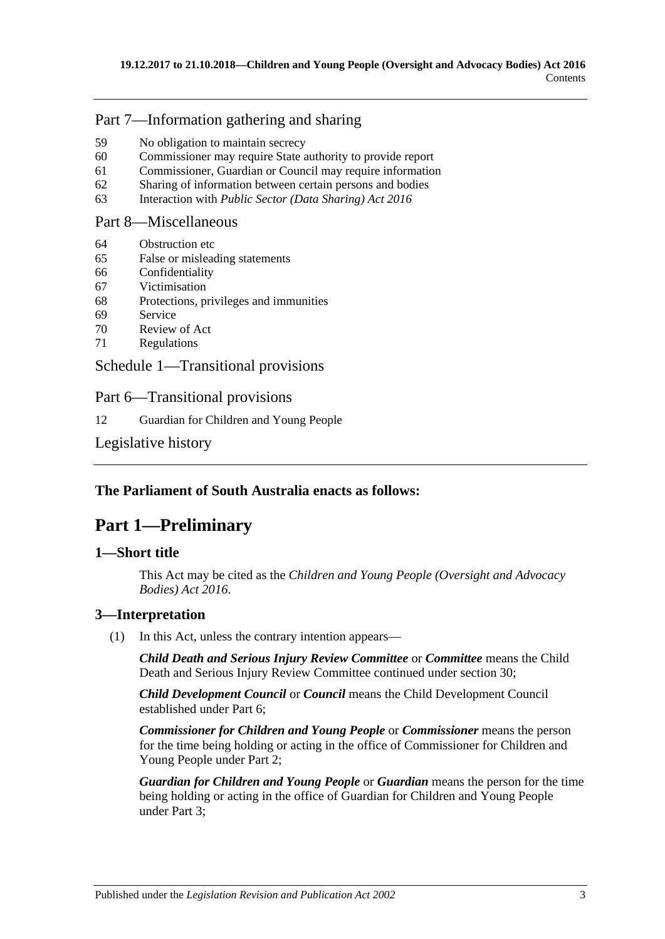## Part [7—Information gathering and sharing](#page-25-1)

- 59 [No obligation to maintain secrecy](#page-25-2)
- 60 [Commissioner may require State authority to provide report](#page-25-3)
- 61 [Commissioner, Guardian or Council may require information](#page-26-0)
- 62 [Sharing of information between certain persons and bodies](#page-26-1)
- 63 Interaction with *[Public Sector \(Data Sharing\) Act](#page-27-0) 2016*

#### Part [8—Miscellaneous](#page-27-1)

- 64 [Obstruction etc](#page-27-2)
- 65 [False or misleading statements](#page-28-0)
- 66 [Confidentiality](#page-28-1)
- 67 [Victimisation](#page-28-2)
- 68 [Protections, privileges and immunities](#page-29-0)
- 69 [Service](#page-30-0)
- 70 [Review of Act](#page-30-1)
- 71 [Regulations](#page-31-0)

## Schedule [1—Transitional provisions](#page-31-1)

Part 6—Transitional provisions

12 [Guardian for Children and Young People](#page-31-2)

## [Legislative history](#page-32-0)

## <span id="page-2-0"></span>**The Parliament of South Australia enacts as follows:**

## **Part 1—Preliminary**

## <span id="page-2-1"></span>**1—Short title**

This Act may be cited as the *Children and Young People (Oversight and Advocacy Bodies) Act 2016*.

## <span id="page-2-2"></span>**3—Interpretation**

(1) In this Act, unless the contrary intention appears—

*Child Death and Serious Injury Review Committee* or *Committee* means the Child Death and Serious Injury Review Committee continued under [section](#page-14-1) 30;

*Child Development Council* or *Council* means the Child Development Council established under [Part](#page-20-1) 6;

*Commissioner for Children and Young People* or *Commissioner* means the person for the time being holding or acting in the office of Commissioner for Children and Young People under [Part](#page-4-2) 2;

*Guardian for Children and Young People* or *Guardian* means the person for the time being holding or acting in the office of Guardian for Children and Young People under [Part](#page-10-4) 3;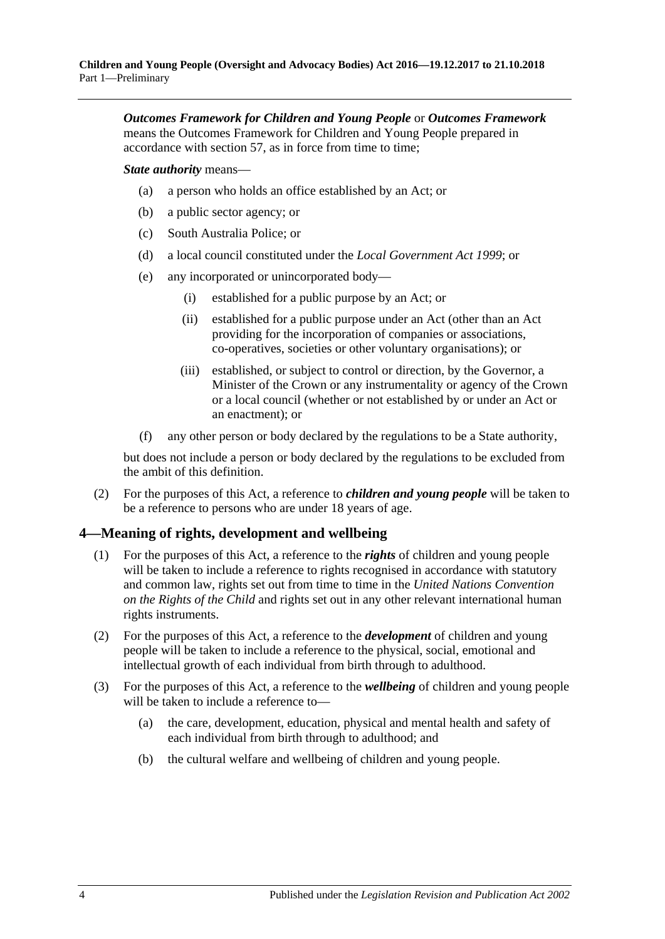*Outcomes Framework for Children and Young People* or *Outcomes Framework* means the Outcomes Framework for Children and Young People prepared in accordance with [section](#page-24-2) 57, as in force from time to time;

*State authority* means—

- (a) a person who holds an office established by an Act; or
- (b) a public sector agency; or
- (c) South Australia Police; or
- (d) a local council constituted under the *[Local Government Act](http://www.legislation.sa.gov.au/index.aspx?action=legref&type=act&legtitle=Local%20Government%20Act%201999) 1999*; or
- (e) any incorporated or unincorporated body—
	- (i) established for a public purpose by an Act; or
	- (ii) established for a public purpose under an Act (other than an Act providing for the incorporation of companies or associations, co-operatives, societies or other voluntary organisations); or
	- (iii) established, or subject to control or direction, by the Governor, a Minister of the Crown or any instrumentality or agency of the Crown or a local council (whether or not established by or under an Act or an enactment); or
- (f) any other person or body declared by the regulations to be a State authority,

but does not include a person or body declared by the regulations to be excluded from the ambit of this definition.

(2) For the purposes of this Act, a reference to *children and young people* will be taken to be a reference to persons who are under 18 years of age.

## <span id="page-3-0"></span>**4—Meaning of rights, development and wellbeing**

- (1) For the purposes of this Act, a reference to the *rights* of children and young people will be taken to include a reference to rights recognised in accordance with statutory and common law, rights set out from time to time in the *United Nations Convention on the Rights of the Child* and rights set out in any other relevant international human rights instruments.
- (2) For the purposes of this Act, a reference to the *development* of children and young people will be taken to include a reference to the physical, social, emotional and intellectual growth of each individual from birth through to adulthood.
- (3) For the purposes of this Act, a reference to the *wellbeing* of children and young people will be taken to include a reference to—
	- (a) the care, development, education, physical and mental health and safety of each individual from birth through to adulthood; and
	- (b) the cultural welfare and wellbeing of children and young people.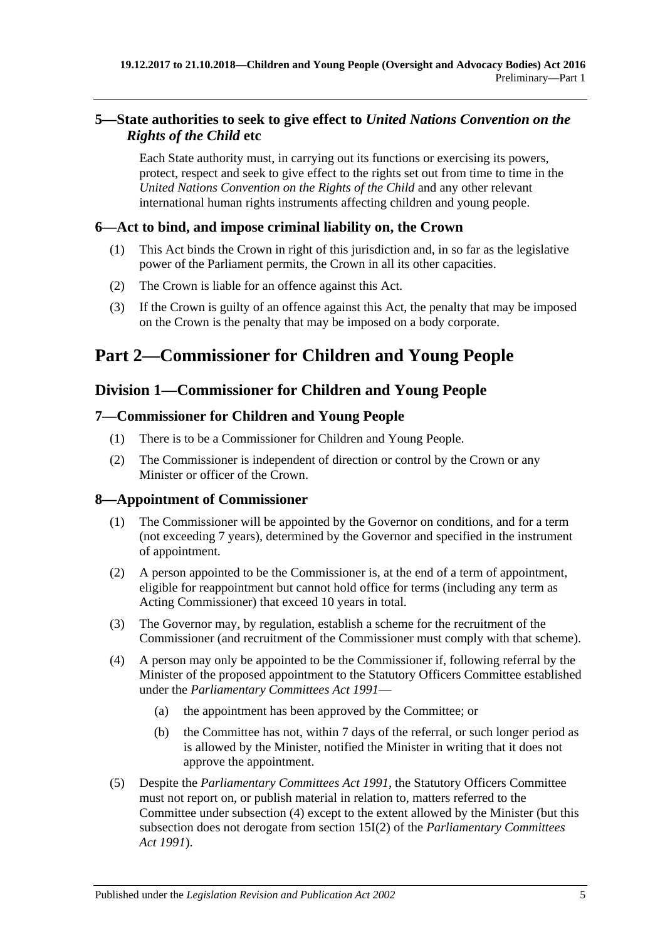## <span id="page-4-0"></span>**5—State authorities to seek to give effect to** *United Nations Convention on the Rights of the Child* **etc**

Each State authority must, in carrying out its functions or exercising its powers, protect, respect and seek to give effect to the rights set out from time to time in the *United Nations Convention on the Rights of the Child* and any other relevant international human rights instruments affecting children and young people.

## <span id="page-4-1"></span>**6—Act to bind, and impose criminal liability on, the Crown**

- (1) This Act binds the Crown in right of this jurisdiction and, in so far as the legislative power of the Parliament permits, the Crown in all its other capacities.
- (2) The Crown is liable for an offence against this Act.
- (3) If the Crown is guilty of an offence against this Act, the penalty that may be imposed on the Crown is the penalty that may be imposed on a body corporate.

# <span id="page-4-2"></span>**Part 2—Commissioner for Children and Young People**

## <span id="page-4-3"></span>**Division 1—Commissioner for Children and Young People**

## <span id="page-4-4"></span>**7—Commissioner for Children and Young People**

- (1) There is to be a Commissioner for Children and Young People.
- (2) The Commissioner is independent of direction or control by the Crown or any Minister or officer of the Crown.

## <span id="page-4-5"></span>**8—Appointment of Commissioner**

- (1) The Commissioner will be appointed by the Governor on conditions, and for a term (not exceeding 7 years), determined by the Governor and specified in the instrument of appointment.
- (2) A person appointed to be the Commissioner is, at the end of a term of appointment, eligible for reappointment but cannot hold office for terms (including any term as Acting Commissioner) that exceed 10 years in total.
- (3) The Governor may, by regulation, establish a scheme for the recruitment of the Commissioner (and recruitment of the Commissioner must comply with that scheme).
- <span id="page-4-6"></span>(4) A person may only be appointed to be the Commissioner if, following referral by the Minister of the proposed appointment to the Statutory Officers Committee established under the *[Parliamentary Committees Act](http://www.legislation.sa.gov.au/index.aspx?action=legref&type=act&legtitle=Parliamentary%20Committees%20Act%201991) 1991*—
	- (a) the appointment has been approved by the Committee; or
	- (b) the Committee has not, within 7 days of the referral, or such longer period as is allowed by the Minister, notified the Minister in writing that it does not approve the appointment.
- (5) Despite the *[Parliamentary Committees Act](http://www.legislation.sa.gov.au/index.aspx?action=legref&type=act&legtitle=Parliamentary%20Committees%20Act%201991) 1991*, the Statutory Officers Committee must not report on, or publish material in relation to, matters referred to the Committee under [subsection](#page-4-6) (4) except to the extent allowed by the Minister (but this subsection does not derogate from section 15I(2) of the *[Parliamentary Committees](http://www.legislation.sa.gov.au/index.aspx?action=legref&type=act&legtitle=Parliamentary%20Committees%20Act%201991)  Act [1991](http://www.legislation.sa.gov.au/index.aspx?action=legref&type=act&legtitle=Parliamentary%20Committees%20Act%201991)*).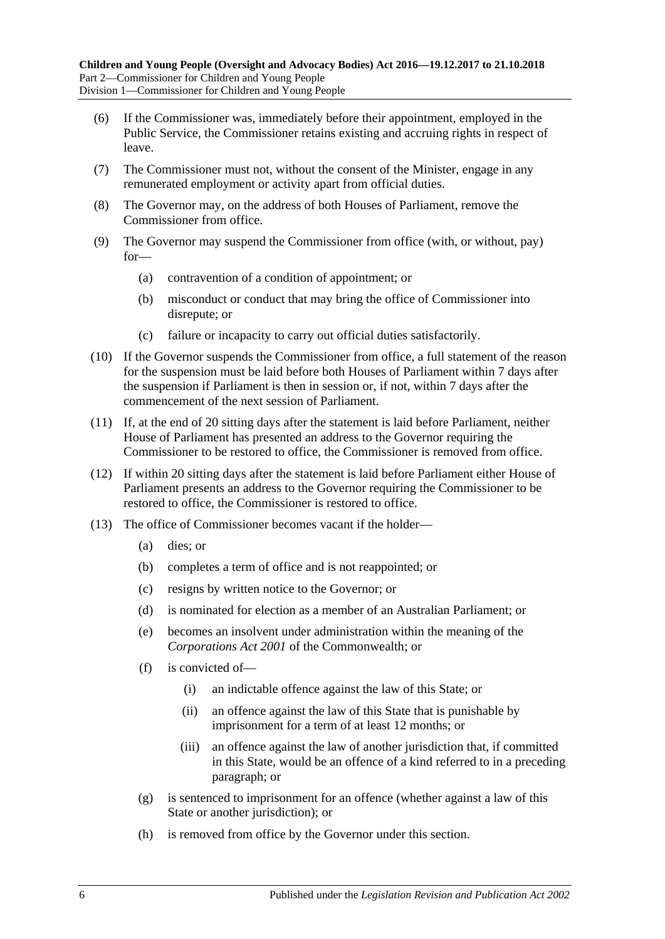- (6) If the Commissioner was, immediately before their appointment, employed in the Public Service, the Commissioner retains existing and accruing rights in respect of leave.
- (7) The Commissioner must not, without the consent of the Minister, engage in any remunerated employment or activity apart from official duties.
- (8) The Governor may, on the address of both Houses of Parliament, remove the Commissioner from office.
- (9) The Governor may suspend the Commissioner from office (with, or without, pay) for—
	- (a) contravention of a condition of appointment; or
	- (b) misconduct or conduct that may bring the office of Commissioner into disrepute; or
	- (c) failure or incapacity to carry out official duties satisfactorily.
- (10) If the Governor suspends the Commissioner from office, a full statement of the reason for the suspension must be laid before both Houses of Parliament within 7 days after the suspension if Parliament is then in session or, if not, within 7 days after the commencement of the next session of Parliament.
- (11) If, at the end of 20 sitting days after the statement is laid before Parliament, neither House of Parliament has presented an address to the Governor requiring the Commissioner to be restored to office, the Commissioner is removed from office.
- (12) If within 20 sitting days after the statement is laid before Parliament either House of Parliament presents an address to the Governor requiring the Commissioner to be restored to office, the Commissioner is restored to office.
- (13) The office of Commissioner becomes vacant if the holder—
	- (a) dies; or
	- (b) completes a term of office and is not reappointed; or
	- (c) resigns by written notice to the Governor; or
	- (d) is nominated for election as a member of an Australian Parliament; or
	- (e) becomes an insolvent under administration within the meaning of the *Corporations Act 2001* of the Commonwealth; or
	- (f) is convicted of—
		- (i) an indictable offence against the law of this State; or
		- (ii) an offence against the law of this State that is punishable by imprisonment for a term of at least 12 months; or
		- (iii) an offence against the law of another jurisdiction that, if committed in this State, would be an offence of a kind referred to in a preceding paragraph; or
	- (g) is sentenced to imprisonment for an offence (whether against a law of this State or another jurisdiction); or
	- (h) is removed from office by the Governor under this section.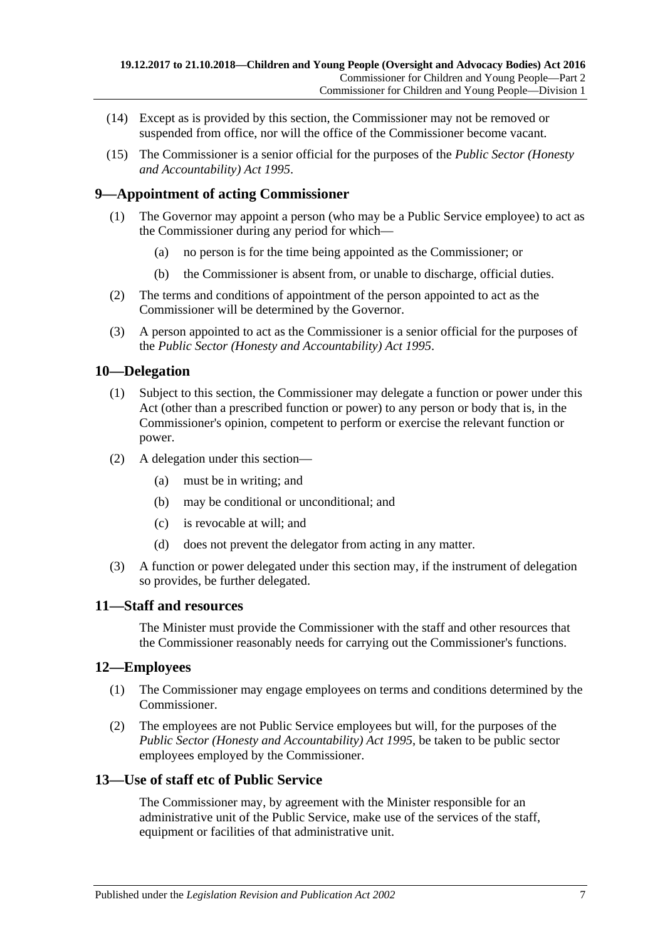- (14) Except as is provided by this section, the Commissioner may not be removed or suspended from office, nor will the office of the Commissioner become vacant.
- (15) The Commissioner is a senior official for the purposes of the *[Public Sector \(Honesty](http://www.legislation.sa.gov.au/index.aspx?action=legref&type=act&legtitle=Public%20Sector%20(Honesty%20and%20Accountability)%20Act%201995)  [and Accountability\) Act](http://www.legislation.sa.gov.au/index.aspx?action=legref&type=act&legtitle=Public%20Sector%20(Honesty%20and%20Accountability)%20Act%201995) 1995*.

## <span id="page-6-0"></span>**9—Appointment of acting Commissioner**

- (1) The Governor may appoint a person (who may be a Public Service employee) to act as the Commissioner during any period for which—
	- (a) no person is for the time being appointed as the Commissioner; or
	- (b) the Commissioner is absent from, or unable to discharge, official duties.
- (2) The terms and conditions of appointment of the person appointed to act as the Commissioner will be determined by the Governor.
- (3) A person appointed to act as the Commissioner is a senior official for the purposes of the *[Public Sector \(Honesty and Accountability\) Act](http://www.legislation.sa.gov.au/index.aspx?action=legref&type=act&legtitle=Public%20Sector%20(Honesty%20and%20Accountability)%20Act%201995) 1995*.

## <span id="page-6-1"></span>**10—Delegation**

- (1) Subject to this section, the Commissioner may delegate a function or power under this Act (other than a prescribed function or power) to any person or body that is, in the Commissioner's opinion, competent to perform or exercise the relevant function or power.
- (2) A delegation under this section—
	- (a) must be in writing; and
	- (b) may be conditional or unconditional; and
	- (c) is revocable at will; and
	- (d) does not prevent the delegator from acting in any matter.
- (3) A function or power delegated under this section may, if the instrument of delegation so provides, be further delegated.

#### <span id="page-6-2"></span>**11—Staff and resources**

The Minister must provide the Commissioner with the staff and other resources that the Commissioner reasonably needs for carrying out the Commissioner's functions.

#### <span id="page-6-3"></span>**12—Employees**

- (1) The Commissioner may engage employees on terms and conditions determined by the Commissioner.
- (2) The employees are not Public Service employees but will, for the purposes of the *[Public Sector \(Honesty and Accountability\) Act](http://www.legislation.sa.gov.au/index.aspx?action=legref&type=act&legtitle=Public%20Sector%20(Honesty%20and%20Accountability)%20Act%201995) 1995*, be taken to be public sector employees employed by the Commissioner.

#### <span id="page-6-4"></span>**13—Use of staff etc of Public Service**

The Commissioner may, by agreement with the Minister responsible for an administrative unit of the Public Service, make use of the services of the staff, equipment or facilities of that administrative unit.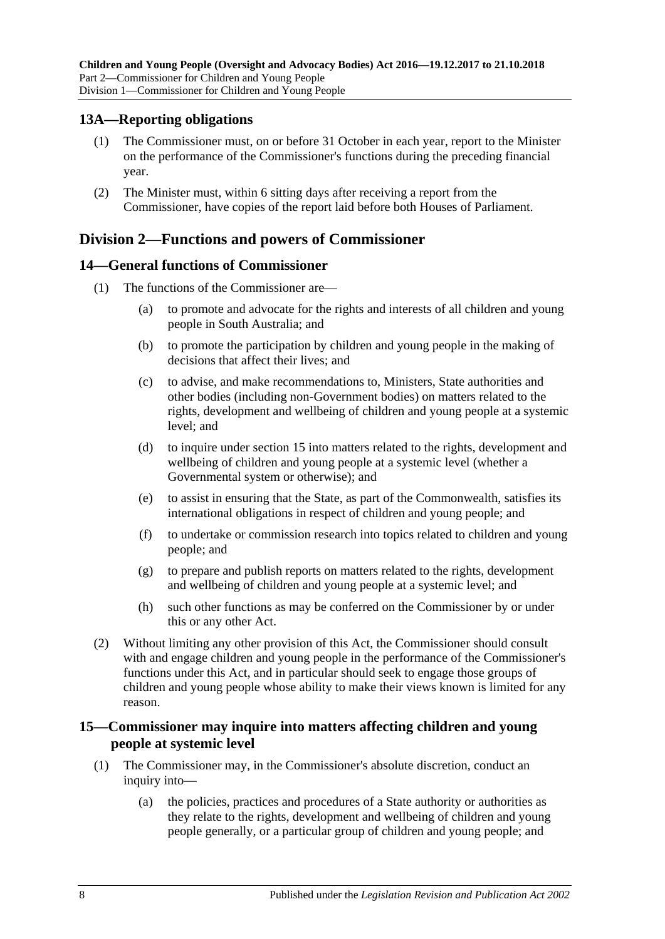#### <span id="page-7-0"></span>**13A—Reporting obligations**

- (1) The Commissioner must, on or before 31 October in each year, report to the Minister on the performance of the Commissioner's functions during the preceding financial year.
- (2) The Minister must, within 6 sitting days after receiving a report from the Commissioner, have copies of the report laid before both Houses of Parliament.

## <span id="page-7-1"></span>**Division 2—Functions and powers of Commissioner**

## <span id="page-7-2"></span>**14—General functions of Commissioner**

- (1) The functions of the Commissioner are—
	- (a) to promote and advocate for the rights and interests of all children and young people in South Australia; and
	- (b) to promote the participation by children and young people in the making of decisions that affect their lives; and
	- (c) to advise, and make recommendations to, Ministers, State authorities and other bodies (including non-Government bodies) on matters related to the rights, development and wellbeing of children and young people at a systemic level; and
	- (d) to inquire under [section](#page-7-3) 15 into matters related to the rights, development and wellbeing of children and young people at a systemic level (whether a Governmental system or otherwise); and
	- (e) to assist in ensuring that the State, as part of the Commonwealth, satisfies its international obligations in respect of children and young people; and
	- (f) to undertake or commission research into topics related to children and young people; and
	- (g) to prepare and publish reports on matters related to the rights, development and wellbeing of children and young people at a systemic level; and
	- (h) such other functions as may be conferred on the Commissioner by or under this or any other Act.
- (2) Without limiting any other provision of this Act, the Commissioner should consult with and engage children and young people in the performance of the Commissioner's functions under this Act, and in particular should seek to engage those groups of children and young people whose ability to make their views known is limited for any reason.

#### <span id="page-7-3"></span>**15—Commissioner may inquire into matters affecting children and young people at systemic level**

- (1) The Commissioner may, in the Commissioner's absolute discretion, conduct an inquiry into—
	- (a) the policies, practices and procedures of a State authority or authorities as they relate to the rights, development and wellbeing of children and young people generally, or a particular group of children and young people; and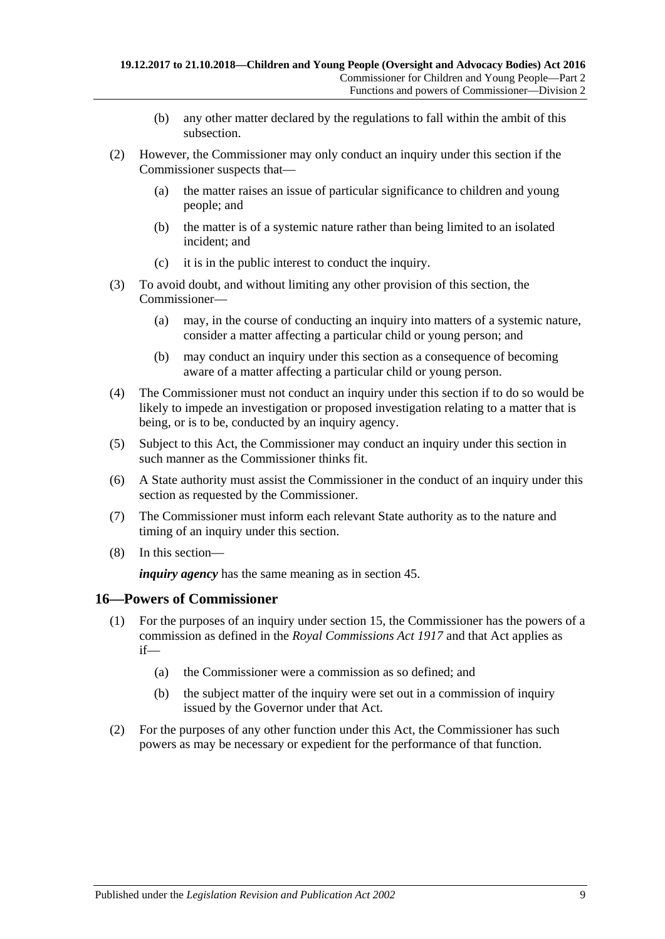- (b) any other matter declared by the regulations to fall within the ambit of this subsection.
- (2) However, the Commissioner may only conduct an inquiry under this section if the Commissioner suspects that—
	- (a) the matter raises an issue of particular significance to children and young people; and
	- (b) the matter is of a systemic nature rather than being limited to an isolated incident; and
	- (c) it is in the public interest to conduct the inquiry.
- (3) To avoid doubt, and without limiting any other provision of this section, the Commissioner—
	- (a) may, in the course of conducting an inquiry into matters of a systemic nature, consider a matter affecting a particular child or young person; and
	- (b) may conduct an inquiry under this section as a consequence of becoming aware of a matter affecting a particular child or young person.
- (4) The Commissioner must not conduct an inquiry under this section if to do so would be likely to impede an investigation or proposed investigation relating to a matter that is being, or is to be, conducted by an inquiry agency.
- (5) Subject to this Act, the Commissioner may conduct an inquiry under this section in such manner as the Commissioner thinks fit.
- (6) A State authority must assist the Commissioner in the conduct of an inquiry under this section as requested by the Commissioner.
- (7) The Commissioner must inform each relevant State authority as to the nature and timing of an inquiry under this section.
- (8) In this section—

*inquiry agency* has the same meaning as in [section](#page-20-0) 45.

#### <span id="page-8-0"></span>**16—Powers of Commissioner**

- (1) For the purposes of an inquiry under [section](#page-7-3) 15, the Commissioner has the powers of a commission as defined in the *[Royal Commissions Act](http://www.legislation.sa.gov.au/index.aspx?action=legref&type=act&legtitle=Royal%20Commissions%20Act%201917) 1917* and that Act applies as if—
	- (a) the Commissioner were a commission as so defined; and
	- (b) the subject matter of the inquiry were set out in a commission of inquiry issued by the Governor under that Act.
- (2) For the purposes of any other function under this Act, the Commissioner has such powers as may be necessary or expedient for the performance of that function.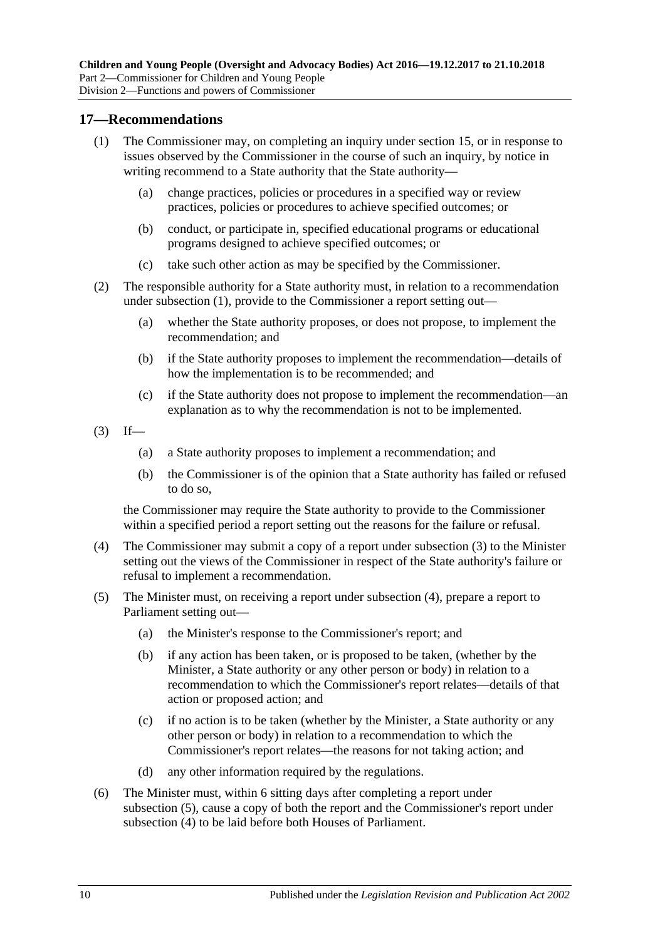#### <span id="page-9-1"></span><span id="page-9-0"></span>**17—Recommendations**

- (1) The Commissioner may, on completing an inquiry under [section](#page-7-3) 15, or in response to issues observed by the Commissioner in the course of such an inquiry, by notice in writing recommend to a State authority that the State authority—
	- (a) change practices, policies or procedures in a specified way or review practices, policies or procedures to achieve specified outcomes; or
	- (b) conduct, or participate in, specified educational programs or educational programs designed to achieve specified outcomes; or
	- (c) take such other action as may be specified by the Commissioner.
- (2) The responsible authority for a State authority must, in relation to a recommendation under [subsection](#page-9-1) (1), provide to the Commissioner a report setting out—
	- (a) whether the State authority proposes, or does not propose, to implement the recommendation; and
	- (b) if the State authority proposes to implement the recommendation—details of how the implementation is to be recommended; and
	- (c) if the State authority does not propose to implement the recommendation—an explanation as to why the recommendation is not to be implemented.
- <span id="page-9-2"></span> $(3)$  If—
	- (a) a State authority proposes to implement a recommendation; and
	- (b) the Commissioner is of the opinion that a State authority has failed or refused to do so,

the Commissioner may require the State authority to provide to the Commissioner within a specified period a report setting out the reasons for the failure or refusal.

- <span id="page-9-3"></span>(4) The Commissioner may submit a copy of a report under [subsection](#page-9-2) (3) to the Minister setting out the views of the Commissioner in respect of the State authority's failure or refusal to implement a recommendation.
- <span id="page-9-4"></span>(5) The Minister must, on receiving a report under [subsection](#page-9-3) (4), prepare a report to Parliament setting out—
	- (a) the Minister's response to the Commissioner's report; and
	- (b) if any action has been taken, or is proposed to be taken, (whether by the Minister, a State authority or any other person or body) in relation to a recommendation to which the Commissioner's report relates—details of that action or proposed action; and
	- (c) if no action is to be taken (whether by the Minister, a State authority or any other person or body) in relation to a recommendation to which the Commissioner's report relates—the reasons for not taking action; and
	- (d) any other information required by the regulations.
- (6) The Minister must, within 6 sitting days after completing a report under [subsection](#page-9-4) (5), cause a copy of both the report and the Commissioner's report under [subsection](#page-9-3) (4) to be laid before both Houses of Parliament.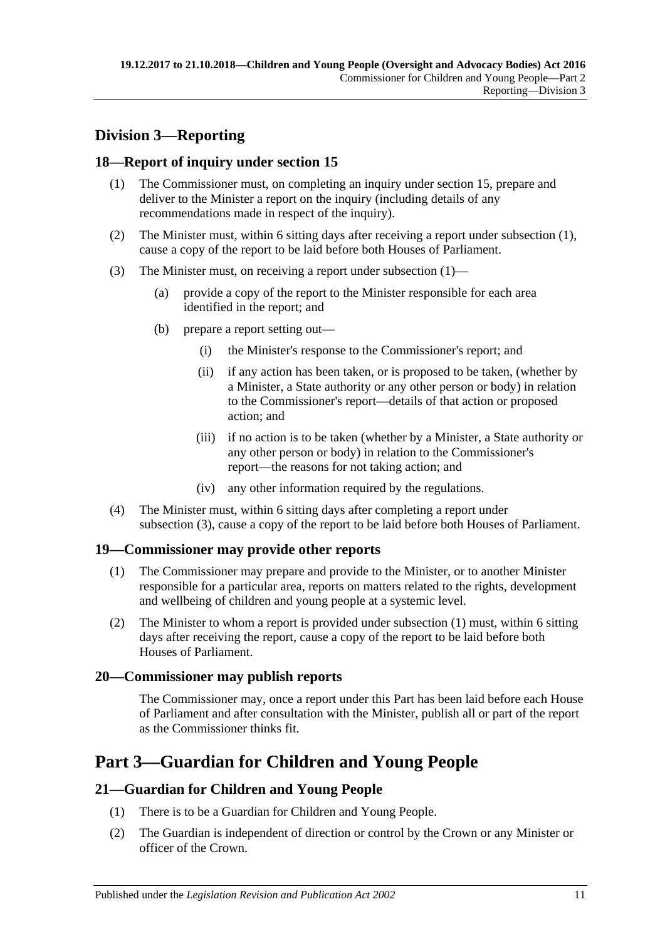# <span id="page-10-0"></span>**Division 3—Reporting**

## <span id="page-10-6"></span><span id="page-10-1"></span>**18—Report of inquiry under [section](#page-7-3) 15**

- (1) The Commissioner must, on completing an inquiry under [section](#page-7-3) 15, prepare and deliver to the Minister a report on the inquiry (including details of any recommendations made in respect of the inquiry).
- (2) The Minister must, within 6 sitting days after receiving a report under [subsection](#page-10-6) (1), cause a copy of the report to be laid before both Houses of Parliament.
- <span id="page-10-7"></span>(3) The Minister must, on receiving a report under [subsection](#page-10-6) (1)—
	- (a) provide a copy of the report to the Minister responsible for each area identified in the report; and
	- (b) prepare a report setting out—
		- (i) the Minister's response to the Commissioner's report; and
		- (ii) if any action has been taken, or is proposed to be taken, (whether by a Minister, a State authority or any other person or body) in relation to the Commissioner's report—details of that action or proposed action; and
		- (iii) if no action is to be taken (whether by a Minister, a State authority or any other person or body) in relation to the Commissioner's report—the reasons for not taking action; and
		- (iv) any other information required by the regulations.
- (4) The Minister must, within 6 sitting days after completing a report under [subsection](#page-10-7) (3), cause a copy of the report to be laid before both Houses of Parliament.

## <span id="page-10-8"></span><span id="page-10-2"></span>**19—Commissioner may provide other reports**

- (1) The Commissioner may prepare and provide to the Minister, or to another Minister responsible for a particular area, reports on matters related to the rights, development and wellbeing of children and young people at a systemic level.
- (2) The Minister to whom a report is provided under [subsection](#page-10-8) (1) must, within 6 sitting days after receiving the report, cause a copy of the report to be laid before both Houses of Parliament.

## <span id="page-10-3"></span>**20—Commissioner may publish reports**

The Commissioner may, once a report under this Part has been laid before each House of Parliament and after consultation with the Minister, publish all or part of the report as the Commissioner thinks fit.

# <span id="page-10-4"></span>**Part 3—Guardian for Children and Young People**

## <span id="page-10-5"></span>**21—Guardian for Children and Young People**

- (1) There is to be a Guardian for Children and Young People.
- (2) The Guardian is independent of direction or control by the Crown or any Minister or officer of the Crown.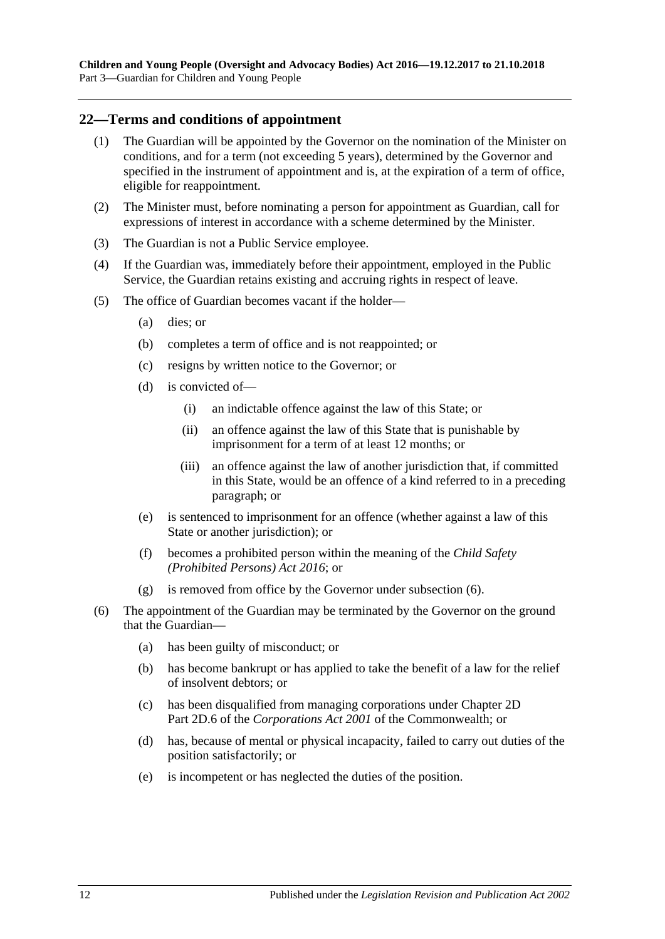#### <span id="page-11-0"></span>**22—Terms and conditions of appointment**

- (1) The Guardian will be appointed by the Governor on the nomination of the Minister on conditions, and for a term (not exceeding 5 years), determined by the Governor and specified in the instrument of appointment and is, at the expiration of a term of office, eligible for reappointment.
- (2) The Minister must, before nominating a person for appointment as Guardian, call for expressions of interest in accordance with a scheme determined by the Minister.
- (3) The Guardian is not a Public Service employee.
- (4) If the Guardian was, immediately before their appointment, employed in the Public Service, the Guardian retains existing and accruing rights in respect of leave.
- (5) The office of Guardian becomes vacant if the holder—
	- (a) dies; or
	- (b) completes a term of office and is not reappointed; or
	- (c) resigns by written notice to the Governor; or
	- (d) is convicted of—
		- (i) an indictable offence against the law of this State; or
		- (ii) an offence against the law of this State that is punishable by imprisonment for a term of at least 12 months; or
		- (iii) an offence against the law of another jurisdiction that, if committed in this State, would be an offence of a kind referred to in a preceding paragraph; or
	- (e) is sentenced to imprisonment for an offence (whether against a law of this State or another jurisdiction); or
	- (f) becomes a prohibited person within the meaning of the *[Child Safety](http://www.legislation.sa.gov.au/index.aspx?action=legref&type=act&legtitle=Child%20Safety%20(Prohibited%20Persons)%20Act%202016)  [\(Prohibited Persons\) Act](http://www.legislation.sa.gov.au/index.aspx?action=legref&type=act&legtitle=Child%20Safety%20(Prohibited%20Persons)%20Act%202016) 2016*; or
	- (g) is removed from office by the Governor under [subsection](#page-11-1) (6).
- <span id="page-11-1"></span>(6) The appointment of the Guardian may be terminated by the Governor on the ground that the Guardian—
	- (a) has been guilty of misconduct; or
	- (b) has become bankrupt or has applied to take the benefit of a law for the relief of insolvent debtors; or
	- (c) has been disqualified from managing corporations under Chapter 2D Part 2D.6 of the *Corporations Act 2001* of the Commonwealth; or
	- (d) has, because of mental or physical incapacity, failed to carry out duties of the position satisfactorily; or
	- (e) is incompetent or has neglected the duties of the position.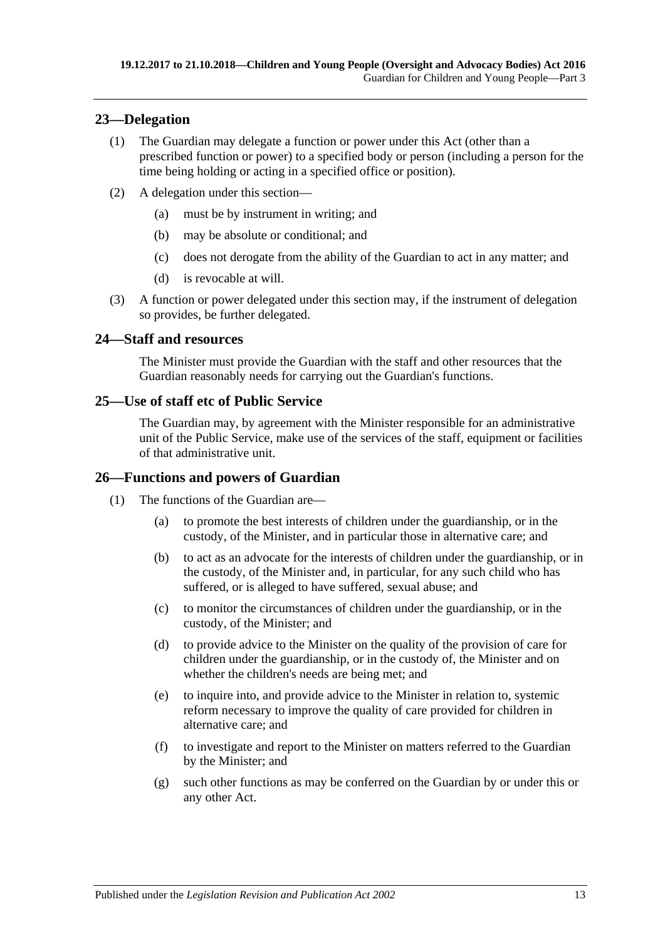## <span id="page-12-0"></span>**23—Delegation**

- (1) The Guardian may delegate a function or power under this Act (other than a prescribed function or power) to a specified body or person (including a person for the time being holding or acting in a specified office or position).
- (2) A delegation under this section—
	- (a) must be by instrument in writing; and
	- (b) may be absolute or conditional; and
	- (c) does not derogate from the ability of the Guardian to act in any matter; and
	- (d) is revocable at will.
- (3) A function or power delegated under this section may, if the instrument of delegation so provides, be further delegated.

#### <span id="page-12-1"></span>**24—Staff and resources**

The Minister must provide the Guardian with the staff and other resources that the Guardian reasonably needs for carrying out the Guardian's functions.

## <span id="page-12-2"></span>**25—Use of staff etc of Public Service**

The Guardian may, by agreement with the Minister responsible for an administrative unit of the Public Service, make use of the services of the staff, equipment or facilities of that administrative unit.

## <span id="page-12-3"></span>**26—Functions and powers of Guardian**

- (1) The functions of the Guardian are—
	- (a) to promote the best interests of children under the guardianship, or in the custody, of the Minister, and in particular those in alternative care; and
	- (b) to act as an advocate for the interests of children under the guardianship, or in the custody, of the Minister and, in particular, for any such child who has suffered, or is alleged to have suffered, sexual abuse; and
	- (c) to monitor the circumstances of children under the guardianship, or in the custody, of the Minister; and
	- (d) to provide advice to the Minister on the quality of the provision of care for children under the guardianship, or in the custody of, the Minister and on whether the children's needs are being met; and
	- (e) to inquire into, and provide advice to the Minister in relation to, systemic reform necessary to improve the quality of care provided for children in alternative care; and
	- (f) to investigate and report to the Minister on matters referred to the Guardian by the Minister; and
	- (g) such other functions as may be conferred on the Guardian by or under this or any other Act.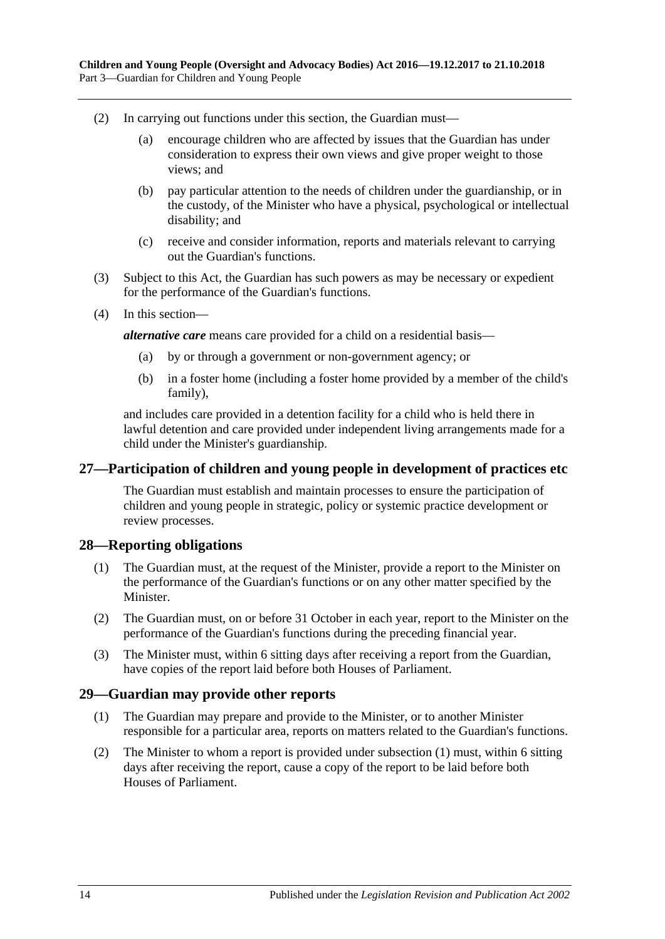- (2) In carrying out functions under this section, the Guardian must—
	- (a) encourage children who are affected by issues that the Guardian has under consideration to express their own views and give proper weight to those views; and
	- (b) pay particular attention to the needs of children under the guardianship, or in the custody, of the Minister who have a physical, psychological or intellectual disability; and
	- (c) receive and consider information, reports and materials relevant to carrying out the Guardian's functions.
- (3) Subject to this Act, the Guardian has such powers as may be necessary or expedient for the performance of the Guardian's functions.
- (4) In this section—

*alternative care* means care provided for a child on a residential basis—

- (a) by or through a government or non-government agency; or
- (b) in a foster home (including a foster home provided by a member of the child's family),

and includes care provided in a detention facility for a child who is held there in lawful detention and care provided under independent living arrangements made for a child under the Minister's guardianship.

#### <span id="page-13-0"></span>**27—Participation of children and young people in development of practices etc**

The Guardian must establish and maintain processes to ensure the participation of children and young people in strategic, policy or systemic practice development or review processes.

#### <span id="page-13-1"></span>**28—Reporting obligations**

- (1) The Guardian must, at the request of the Minister, provide a report to the Minister on the performance of the Guardian's functions or on any other matter specified by the Minister.
- (2) The Guardian must, on or before 31 October in each year, report to the Minister on the performance of the Guardian's functions during the preceding financial year.
- (3) The Minister must, within 6 sitting days after receiving a report from the Guardian, have copies of the report laid before both Houses of Parliament.

#### <span id="page-13-3"></span><span id="page-13-2"></span>**29—Guardian may provide other reports**

- (1) The Guardian may prepare and provide to the Minister, or to another Minister responsible for a particular area, reports on matters related to the Guardian's functions.
- (2) The Minister to whom a report is provided under [subsection](#page-13-3) (1) must, within 6 sitting days after receiving the report, cause a copy of the report to be laid before both Houses of Parliament.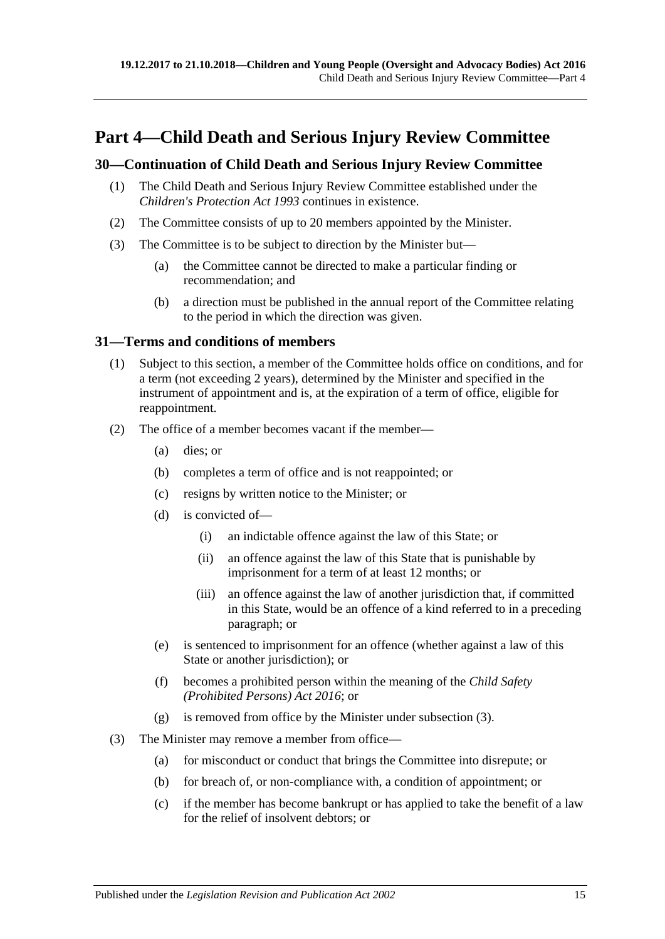# <span id="page-14-0"></span>**Part 4—Child Death and Serious Injury Review Committee**

## <span id="page-14-1"></span>**30—Continuation of Child Death and Serious Injury Review Committee**

- (1) The Child Death and Serious Injury Review Committee established under the *[Children's Protection Act](http://www.legislation.sa.gov.au/index.aspx?action=legref&type=act&legtitle=Childrens%20Protection%20Act%201993) 1993* continues in existence.
- (2) The Committee consists of up to 20 members appointed by the Minister.
- (3) The Committee is to be subject to direction by the Minister but—
	- (a) the Committee cannot be directed to make a particular finding or recommendation; and
	- (b) a direction must be published in the annual report of the Committee relating to the period in which the direction was given.

#### <span id="page-14-2"></span>**31—Terms and conditions of members**

- (1) Subject to this section, a member of the Committee holds office on conditions, and for a term (not exceeding 2 years), determined by the Minister and specified in the instrument of appointment and is, at the expiration of a term of office, eligible for reappointment.
- (2) The office of a member becomes vacant if the member—
	- (a) dies; or
	- (b) completes a term of office and is not reappointed; or
	- (c) resigns by written notice to the Minister; or
	- (d) is convicted of—
		- (i) an indictable offence against the law of this State; or
		- (ii) an offence against the law of this State that is punishable by imprisonment for a term of at least 12 months; or
		- (iii) an offence against the law of another jurisdiction that, if committed in this State, would be an offence of a kind referred to in a preceding paragraph; or
	- (e) is sentenced to imprisonment for an offence (whether against a law of this State or another jurisdiction); or
	- (f) becomes a prohibited person within the meaning of the *[Child Safety](http://www.legislation.sa.gov.au/index.aspx?action=legref&type=act&legtitle=Child%20Safety%20(Prohibited%20Persons)%20Act%202016)  (Prohibited [Persons\) Act](http://www.legislation.sa.gov.au/index.aspx?action=legref&type=act&legtitle=Child%20Safety%20(Prohibited%20Persons)%20Act%202016) 2016*; or
	- (g) is removed from office by the Minister under [subsection](#page-14-3) (3).
- <span id="page-14-3"></span>(3) The Minister may remove a member from office—
	- (a) for misconduct or conduct that brings the Committee into disrepute; or
	- (b) for breach of, or non-compliance with, a condition of appointment; or
	- (c) if the member has become bankrupt or has applied to take the benefit of a law for the relief of insolvent debtors; or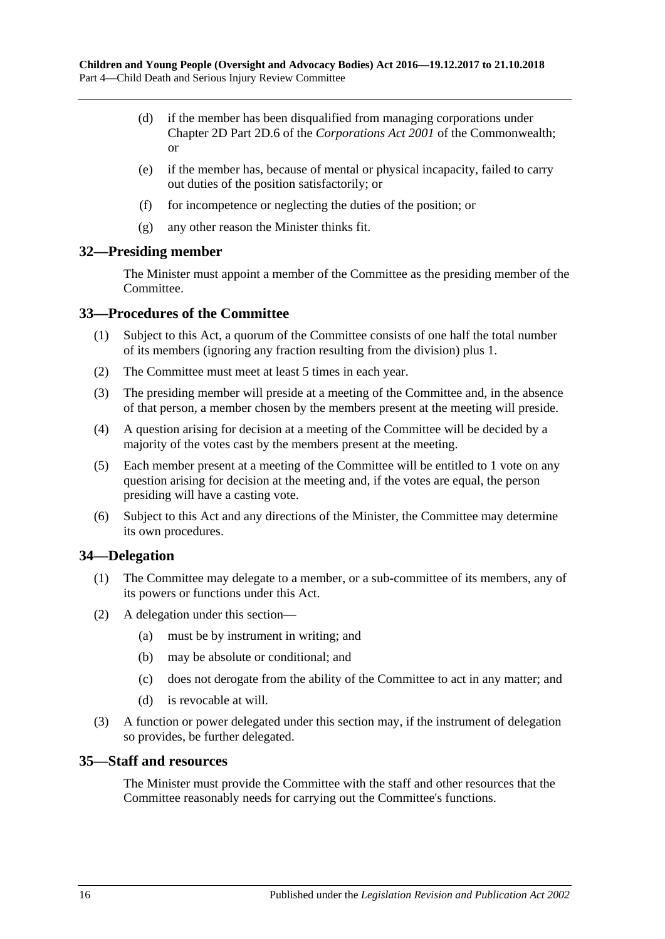- (d) if the member has been disqualified from managing corporations under Chapter 2D Part 2D.6 of the *Corporations Act 2001* of the Commonwealth; or
- (e) if the member has, because of mental or physical incapacity, failed to carry out duties of the position satisfactorily; or
- (f) for incompetence or neglecting the duties of the position; or
- (g) any other reason the Minister thinks fit.

#### <span id="page-15-0"></span>**32—Presiding member**

The Minister must appoint a member of the Committee as the presiding member of the Committee.

#### <span id="page-15-1"></span>**33—Procedures of the Committee**

- (1) Subject to this Act, a quorum of the Committee consists of one half the total number of its members (ignoring any fraction resulting from the division) plus 1.
- (2) The Committee must meet at least 5 times in each year.
- (3) The presiding member will preside at a meeting of the Committee and, in the absence of that person, a member chosen by the members present at the meeting will preside.
- (4) A question arising for decision at a meeting of the Committee will be decided by a majority of the votes cast by the members present at the meeting.
- (5) Each member present at a meeting of the Committee will be entitled to 1 vote on any question arising for decision at the meeting and, if the votes are equal, the person presiding will have a casting vote.
- (6) Subject to this Act and any directions of the Minister, the Committee may determine its own procedures.

## <span id="page-15-2"></span>**34—Delegation**

- (1) The Committee may delegate to a member, or a sub-committee of its members, any of its powers or functions under this Act.
- (2) A delegation under this section—
	- (a) must be by instrument in writing; and
	- (b) may be absolute or conditional; and
	- (c) does not derogate from the ability of the Committee to act in any matter; and
	- (d) is revocable at will.
- (3) A function or power delegated under this section may, if the instrument of delegation so provides, be further delegated.

#### <span id="page-15-3"></span>**35—Staff and resources**

The Minister must provide the Committee with the staff and other resources that the Committee reasonably needs for carrying out the Committee's functions.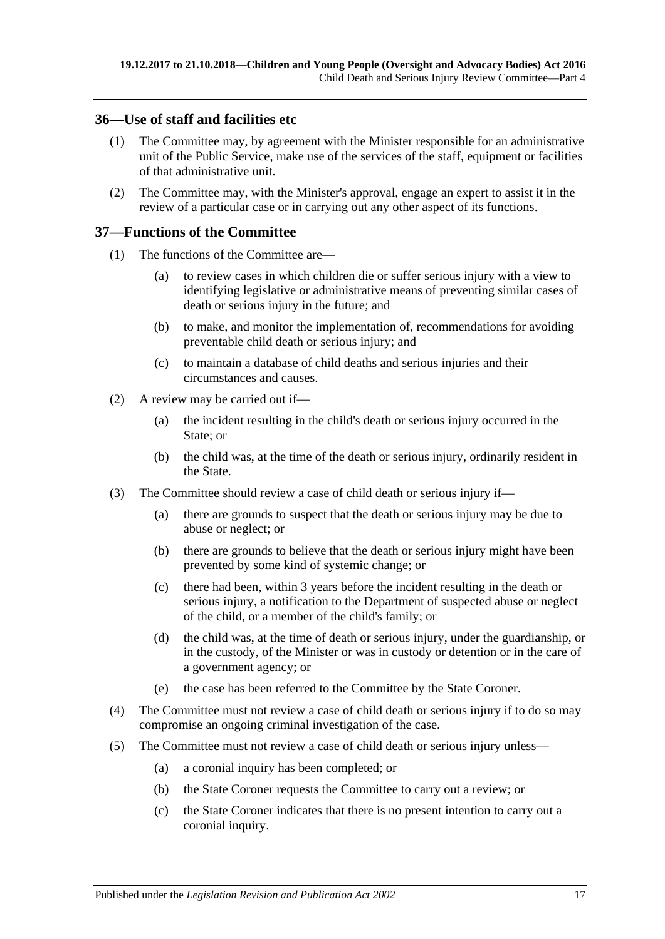#### <span id="page-16-0"></span>**36—Use of staff and facilities etc**

- (1) The Committee may, by agreement with the Minister responsible for an administrative unit of the Public Service, make use of the services of the staff, equipment or facilities of that administrative unit.
- (2) The Committee may, with the Minister's approval, engage an expert to assist it in the review of a particular case or in carrying out any other aspect of its functions.

#### <span id="page-16-1"></span>**37—Functions of the Committee**

- (1) The functions of the Committee are—
	- (a) to review cases in which children die or suffer serious injury with a view to identifying legislative or administrative means of preventing similar cases of death or serious injury in the future; and
	- (b) to make, and monitor the implementation of, recommendations for avoiding preventable child death or serious injury; and
	- (c) to maintain a database of child deaths and serious injuries and their circumstances and causes.
- (2) A review may be carried out if—
	- (a) the incident resulting in the child's death or serious injury occurred in the State; or
	- (b) the child was, at the time of the death or serious injury, ordinarily resident in the State.
- (3) The Committee should review a case of child death or serious injury if—
	- (a) there are grounds to suspect that the death or serious injury may be due to abuse or neglect; or
	- (b) there are grounds to believe that the death or serious injury might have been prevented by some kind of systemic change; or
	- (c) there had been, within 3 years before the incident resulting in the death or serious injury, a notification to the Department of suspected abuse or neglect of the child, or a member of the child's family; or
	- (d) the child was, at the time of death or serious injury, under the guardianship, or in the custody, of the Minister or was in custody or detention or in the care of a government agency; or
	- (e) the case has been referred to the Committee by the State Coroner.
- (4) The Committee must not review a case of child death or serious injury if to do so may compromise an ongoing criminal investigation of the case.
- (5) The Committee must not review a case of child death or serious injury unless—
	- (a) a coronial inquiry has been completed; or
	- (b) the State Coroner requests the Committee to carry out a review; or
	- (c) the State Coroner indicates that there is no present intention to carry out a coronial inquiry.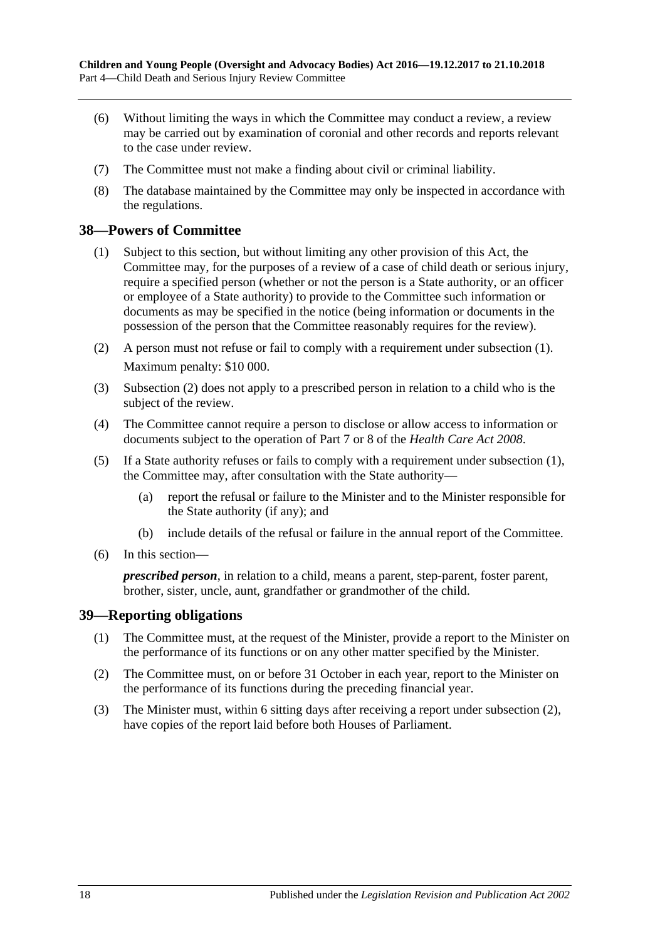- (6) Without limiting the ways in which the Committee may conduct a review, a review may be carried out by examination of coronial and other records and reports relevant to the case under review.
- (7) The Committee must not make a finding about civil or criminal liability.
- (8) The database maintained by the Committee may only be inspected in accordance with the regulations.

#### <span id="page-17-2"></span><span id="page-17-0"></span>**38—Powers of Committee**

- (1) Subject to this section, but without limiting any other provision of this Act, the Committee may, for the purposes of a review of a case of child death or serious injury, require a specified person (whether or not the person is a State authority, or an officer or employee of a State authority) to provide to the Committee such information or documents as may be specified in the notice (being information or documents in the possession of the person that the Committee reasonably requires for the review).
- <span id="page-17-3"></span>(2) A person must not refuse or fail to comply with a requirement under [subsection](#page-17-2) (1). Maximum penalty: \$10 000.
- (3) [Subsection](#page-17-3) (2) does not apply to a prescribed person in relation to a child who is the subject of the review.
- (4) The Committee cannot require a person to disclose or allow access to information or documents subject to the operation of Part 7 or 8 of the *[Health Care Act](http://www.legislation.sa.gov.au/index.aspx?action=legref&type=act&legtitle=Health%20Care%20Act%202008) 2008*.
- (5) If a State authority refuses or fails to comply with a requirement under [subsection](#page-17-2) (1), the Committee may, after consultation with the State authority—
	- (a) report the refusal or failure to the Minister and to the Minister responsible for the State authority (if any); and
	- (b) include details of the refusal or failure in the annual report of the Committee.
- (6) In this section—

*prescribed person*, in relation to a child, means a parent, step-parent, foster parent, brother, sister, uncle, aunt, grandfather or grandmother of the child.

#### <span id="page-17-1"></span>**39—Reporting obligations**

- (1) The Committee must, at the request of the Minister, provide a report to the Minister on the performance of its functions or on any other matter specified by the Minister.
- <span id="page-17-4"></span>(2) The Committee must, on or before 31 October in each year, report to the Minister on the performance of its functions during the preceding financial year.
- (3) The Minister must, within 6 sitting days after receiving a report under [subsection](#page-17-4) (2), have copies of the report laid before both Houses of Parliament.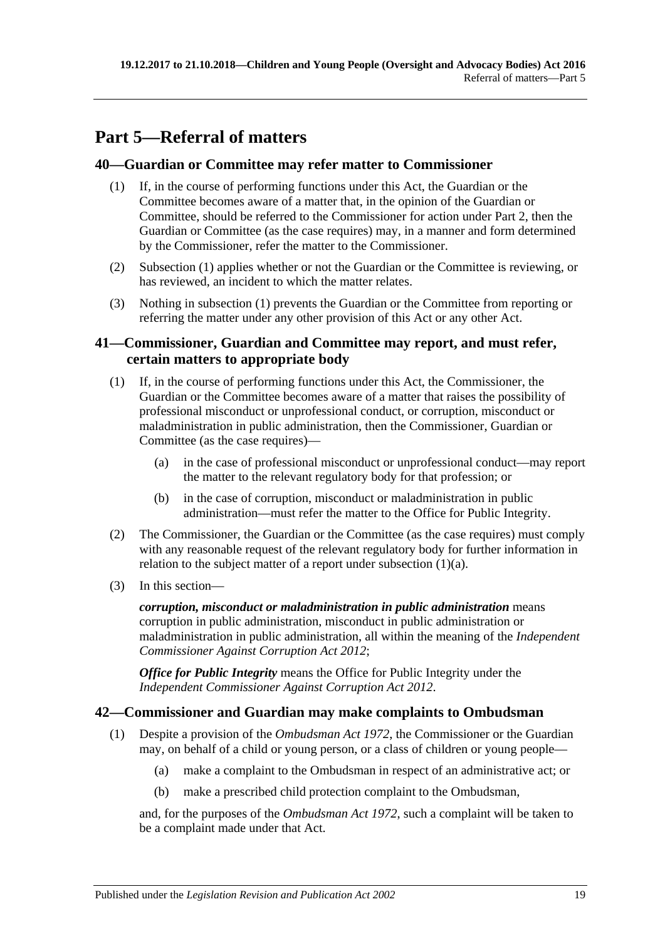# <span id="page-18-0"></span>**Part 5—Referral of matters**

## <span id="page-18-4"></span><span id="page-18-1"></span>**40—Guardian or Committee may refer matter to Commissioner**

- (1) If, in the course of performing functions under this Act, the Guardian or the Committee becomes aware of a matter that, in the opinion of the Guardian or Committee, should be referred to the Commissioner for action under [Part](#page-4-2) 2, then the Guardian or Committee (as the case requires) may, in a manner and form determined by the Commissioner, refer the matter to the Commissioner.
- (2) [Subsection](#page-18-4) (1) applies whether or not the Guardian or the Committee is reviewing, or has reviewed, an incident to which the matter relates.
- (3) Nothing in [subsection](#page-18-4) (1) prevents the Guardian or the Committee from reporting or referring the matter under any other provision of this Act or any other Act.

## <span id="page-18-2"></span>**41—Commissioner, Guardian and Committee may report, and must refer, certain matters to appropriate body**

- <span id="page-18-5"></span>(1) If, in the course of performing functions under this Act, the Commissioner, the Guardian or the Committee becomes aware of a matter that raises the possibility of professional misconduct or unprofessional conduct, or corruption, misconduct or maladministration in public administration, then the Commissioner, Guardian or Committee (as the case requires)—
	- (a) in the case of professional misconduct or unprofessional conduct—may report the matter to the relevant regulatory body for that profession; or
	- (b) in the case of corruption, misconduct or maladministration in public administration—must refer the matter to the Office for Public Integrity.
- (2) The Commissioner, the Guardian or the Committee (as the case requires) must comply with any reasonable request of the relevant regulatory body for further information in relation to the subject matter of a report under [subsection](#page-18-5) (1)(a).
- (3) In this section—

*corruption, misconduct or maladministration in public administration* means corruption in public administration, misconduct in public administration or maladministration in public administration, all within the meaning of the *[Independent](http://www.legislation.sa.gov.au/index.aspx?action=legref&type=act&legtitle=Independent%20Commissioner%20Against%20Corruption%20Act%202012)  [Commissioner Against Corruption Act](http://www.legislation.sa.gov.au/index.aspx?action=legref&type=act&legtitle=Independent%20Commissioner%20Against%20Corruption%20Act%202012) 2012*;

*Office for Public Integrity* means the Office for Public Integrity under the *[Independent Commissioner Against Corruption Act](http://www.legislation.sa.gov.au/index.aspx?action=legref&type=act&legtitle=Independent%20Commissioner%20Against%20Corruption%20Act%202012) 2012*.

## <span id="page-18-3"></span>**42—Commissioner and Guardian may make complaints to Ombudsman**

- <span id="page-18-6"></span>(1) Despite a provision of the *[Ombudsman Act](http://www.legislation.sa.gov.au/index.aspx?action=legref&type=act&legtitle=Ombudsman%20Act%201972) 1972*, the Commissioner or the Guardian may, on behalf of a child or young person, or a class of children or young people—
	- (a) make a complaint to the Ombudsman in respect of an administrative act; or
	- (b) make a prescribed child protection complaint to the Ombudsman,

and, for the purposes of the *[Ombudsman Act](http://www.legislation.sa.gov.au/index.aspx?action=legref&type=act&legtitle=Ombudsman%20Act%201972) 1972*, such a complaint will be taken to be a complaint made under that Act.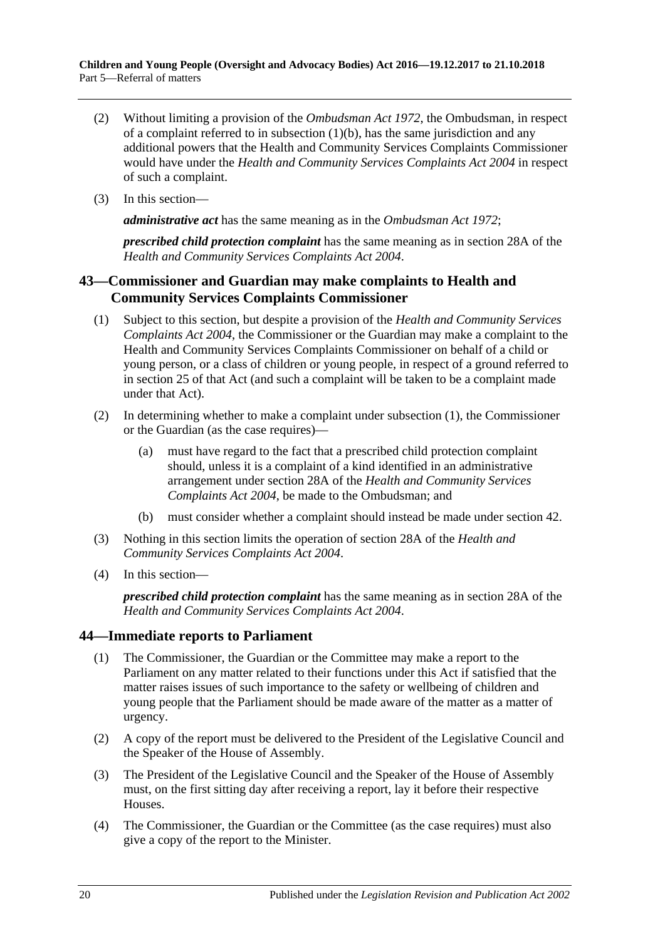- (2) Without limiting a provision of the *[Ombudsman Act](http://www.legislation.sa.gov.au/index.aspx?action=legref&type=act&legtitle=Ombudsman%20Act%201972) 1972*, the Ombudsman, in respect of a complaint referred to in [subsection](#page-18-6)  $(1)(b)$ , has the same jurisdiction and any additional powers that the Health and Community Services Complaints Commissioner would have under the *[Health and Community Services Complaints Act](http://www.legislation.sa.gov.au/index.aspx?action=legref&type=act&legtitle=Health%20and%20Community%20Services%20Complaints%20Act%202004) 2004* in respect of such a complaint.
- (3) In this section—

*administrative act* has the same meaning as in the *[Ombudsman Act](http://www.legislation.sa.gov.au/index.aspx?action=legref&type=act&legtitle=Ombudsman%20Act%201972) 1972*;

*prescribed child protection complaint* has the same meaning as in section 28A of the *[Health and Community Services Complaints Act](http://www.legislation.sa.gov.au/index.aspx?action=legref&type=act&legtitle=Health%20and%20Community%20Services%20Complaints%20Act%202004) 2004*.

## <span id="page-19-0"></span>**43—Commissioner and Guardian may make complaints to Health and Community Services Complaints Commissioner**

- <span id="page-19-2"></span>(1) Subject to this section, but despite a provision of the *[Health and Community Services](http://www.legislation.sa.gov.au/index.aspx?action=legref&type=act&legtitle=Health%20and%20Community%20Services%20Complaints%20Act%202004)  [Complaints Act](http://www.legislation.sa.gov.au/index.aspx?action=legref&type=act&legtitle=Health%20and%20Community%20Services%20Complaints%20Act%202004) 2004*, the Commissioner or the Guardian may make a complaint to the Health and Community Services Complaints Commissioner on behalf of a child or young person, or a class of children or young people, in respect of a ground referred to in section 25 of that Act (and such a complaint will be taken to be a complaint made under that Act).
- (2) In determining whether to make a complaint under [subsection](#page-19-2) (1), the Commissioner or the Guardian (as the case requires)—
	- (a) must have regard to the fact that a prescribed child protection complaint should, unless it is a complaint of a kind identified in an administrative arrangement under section 28A of the *[Health and Community Services](http://www.legislation.sa.gov.au/index.aspx?action=legref&type=act&legtitle=Health%20and%20Community%20Services%20Complaints%20Act%202004)  [Complaints Act](http://www.legislation.sa.gov.au/index.aspx?action=legref&type=act&legtitle=Health%20and%20Community%20Services%20Complaints%20Act%202004) 2004*, be made to the Ombudsman; and
	- (b) must consider whether a complaint should instead be made under [section](#page-18-3) 42.
- (3) Nothing in this section limits the operation of section 28A of the *[Health and](http://www.legislation.sa.gov.au/index.aspx?action=legref&type=act&legtitle=Health%20and%20Community%20Services%20Complaints%20Act%202004)  [Community Services Complaints Act](http://www.legislation.sa.gov.au/index.aspx?action=legref&type=act&legtitle=Health%20and%20Community%20Services%20Complaints%20Act%202004) 2004*.
- (4) In this section—

*prescribed child protection complaint* has the same meaning as in section 28A of the *[Health and Community Services Complaints Act](http://www.legislation.sa.gov.au/index.aspx?action=legref&type=act&legtitle=Health%20and%20Community%20Services%20Complaints%20Act%202004) 2004*.

## <span id="page-19-1"></span>**44—Immediate reports to Parliament**

- (1) The Commissioner, the Guardian or the Committee may make a report to the Parliament on any matter related to their functions under this Act if satisfied that the matter raises issues of such importance to the safety or wellbeing of children and young people that the Parliament should be made aware of the matter as a matter of urgency.
- (2) A copy of the report must be delivered to the President of the Legislative Council and the Speaker of the House of Assembly.
- (3) The President of the Legislative Council and the Speaker of the House of Assembly must, on the first sitting day after receiving a report, lay it before their respective Houses.
- (4) The Commissioner, the Guardian or the Committee (as the case requires) must also give a copy of the report to the Minister.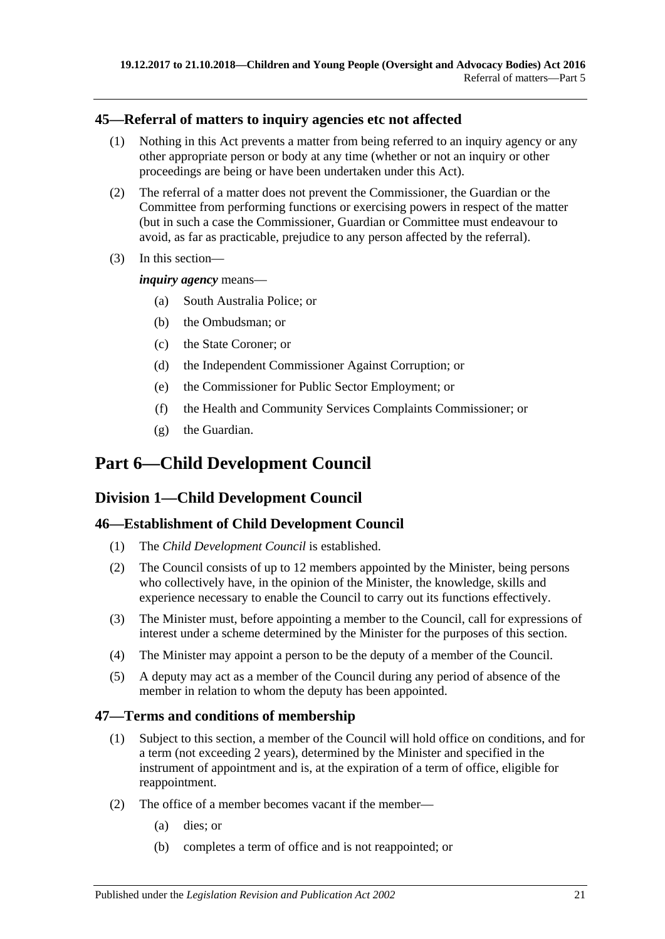## <span id="page-20-0"></span>**45—Referral of matters to inquiry agencies etc not affected**

- (1) Nothing in this Act prevents a matter from being referred to an inquiry agency or any other appropriate person or body at any time (whether or not an inquiry or other proceedings are being or have been undertaken under this Act).
- (2) The referral of a matter does not prevent the Commissioner, the Guardian or the Committee from performing functions or exercising powers in respect of the matter (but in such a case the Commissioner, Guardian or Committee must endeavour to avoid, as far as practicable, prejudice to any person affected by the referral).
- (3) In this section—

*inquiry agency* means—

- (a) South Australia Police; or
- (b) the Ombudsman; or
- (c) the State Coroner; or
- (d) the Independent Commissioner Against Corruption; or
- (e) the Commissioner for Public Sector Employment; or
- (f) the Health and Community Services Complaints Commissioner; or
- (g) the Guardian.

# <span id="page-20-1"></span>**Part 6—Child Development Council**

## <span id="page-20-2"></span>**Division 1—Child Development Council**

## <span id="page-20-3"></span>**46—Establishment of Child Development Council**

- (1) The *Child Development Council* is established.
- (2) The Council consists of up to 12 members appointed by the Minister, being persons who collectively have, in the opinion of the Minister, the knowledge, skills and experience necessary to enable the Council to carry out its functions effectively.
- (3) The Minister must, before appointing a member to the Council, call for expressions of interest under a scheme determined by the Minister for the purposes of this section.
- (4) The Minister may appoint a person to be the deputy of a member of the Council.
- (5) A deputy may act as a member of the Council during any period of absence of the member in relation to whom the deputy has been appointed.

## <span id="page-20-4"></span>**47—Terms and conditions of membership**

- (1) Subject to this section, a member of the Council will hold office on conditions, and for a term (not exceeding 2 years), determined by the Minister and specified in the instrument of appointment and is, at the expiration of a term of office, eligible for reappointment.
- (2) The office of a member becomes vacant if the member—
	- (a) dies; or
	- (b) completes a term of office and is not reappointed; or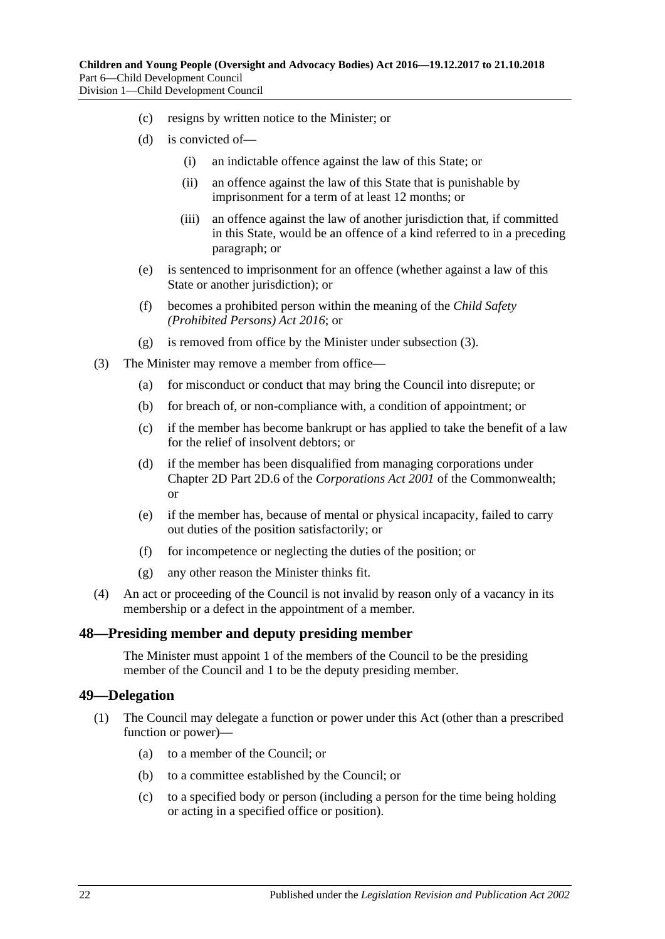- (c) resigns by written notice to the Minister; or
- (d) is convicted of—
	- (i) an indictable offence against the law of this State; or
	- (ii) an offence against the law of this State that is punishable by imprisonment for a term of at least 12 months; or
	- (iii) an offence against the law of another jurisdiction that, if committed in this State, would be an offence of a kind referred to in a preceding paragraph; or
- (e) is sentenced to imprisonment for an offence (whether against a law of this State or another jurisdiction); or
- (f) becomes a prohibited person within the meaning of the *[Child Safety](http://www.legislation.sa.gov.au/index.aspx?action=legref&type=act&legtitle=Child%20Safety%20(Prohibited%20Persons)%20Act%202016)  [\(Prohibited Persons\) Act](http://www.legislation.sa.gov.au/index.aspx?action=legref&type=act&legtitle=Child%20Safety%20(Prohibited%20Persons)%20Act%202016) 2016*; or
- (g) is removed from office by the Minister under [subsection](#page-21-2) (3).
- <span id="page-21-2"></span>(3) The Minister may remove a member from office—
	- (a) for misconduct or conduct that may bring the Council into disrepute; or
	- (b) for breach of, or non-compliance with, a condition of appointment; or
	- (c) if the member has become bankrupt or has applied to take the benefit of a law for the relief of insolvent debtors; or
	- (d) if the member has been disqualified from managing corporations under Chapter 2D Part 2D.6 of the *Corporations Act 2001* of the Commonwealth; or
	- (e) if the member has, because of mental or physical incapacity, failed to carry out duties of the position satisfactorily; or
	- (f) for incompetence or neglecting the duties of the position; or
	- (g) any other reason the Minister thinks fit.
- (4) An act or proceeding of the Council is not invalid by reason only of a vacancy in its membership or a defect in the appointment of a member.

#### <span id="page-21-0"></span>**48—Presiding member and deputy presiding member**

The Minister must appoint 1 of the members of the Council to be the presiding member of the Council and 1 to be the deputy presiding member.

#### <span id="page-21-1"></span>**49—Delegation**

- (1) The Council may delegate a function or power under this Act (other than a prescribed function or power)—
	- (a) to a member of the Council; or
	- (b) to a committee established by the Council; or
	- (c) to a specified body or person (including a person for the time being holding or acting in a specified office or position).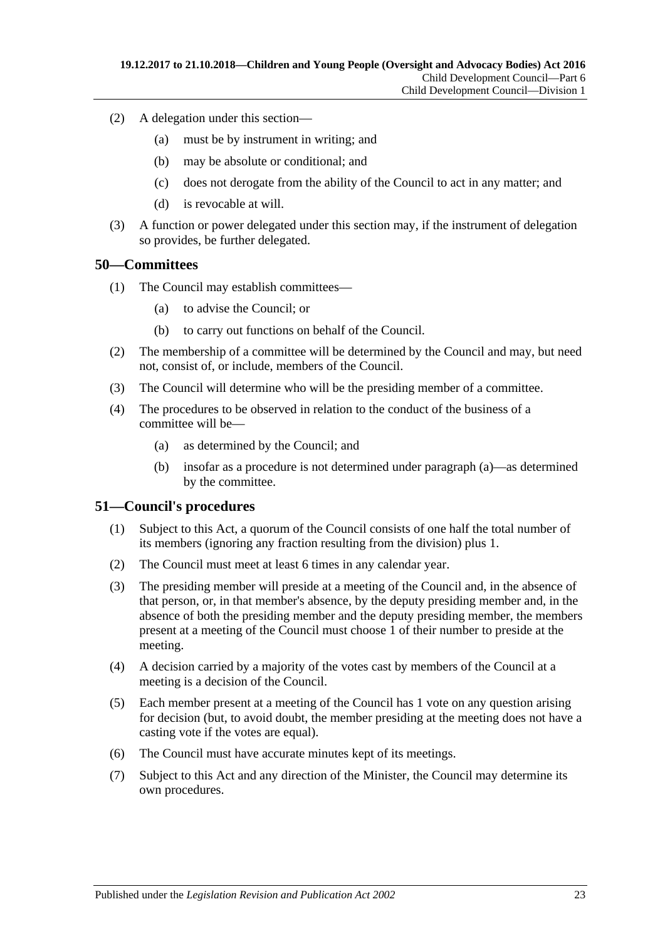- (2) A delegation under this section—
	- (a) must be by instrument in writing; and
	- (b) may be absolute or conditional; and
	- (c) does not derogate from the ability of the Council to act in any matter; and
	- (d) is revocable at will.
- (3) A function or power delegated under this section may, if the instrument of delegation so provides, be further delegated.

#### <span id="page-22-0"></span>**50—Committees**

- (1) The Council may establish committees—
	- (a) to advise the Council; or
	- (b) to carry out functions on behalf of the Council.
- (2) The membership of a committee will be determined by the Council and may, but need not, consist of, or include, members of the Council.
- (3) The Council will determine who will be the presiding member of a committee.
- <span id="page-22-2"></span>(4) The procedures to be observed in relation to the conduct of the business of a committee will be—
	- (a) as determined by the Council; and
	- (b) insofar as a procedure is not determined under [paragraph](#page-22-2) (a)—as determined by the committee.

#### <span id="page-22-1"></span>**51—Council's procedures**

- (1) Subject to this Act, a quorum of the Council consists of one half the total number of its members (ignoring any fraction resulting from the division) plus 1.
- (2) The Council must meet at least 6 times in any calendar year.
- (3) The presiding member will preside at a meeting of the Council and, in the absence of that person, or, in that member's absence, by the deputy presiding member and, in the absence of both the presiding member and the deputy presiding member, the members present at a meeting of the Council must choose 1 of their number to preside at the meeting.
- (4) A decision carried by a majority of the votes cast by members of the Council at a meeting is a decision of the Council.
- (5) Each member present at a meeting of the Council has 1 vote on any question arising for decision (but, to avoid doubt, the member presiding at the meeting does not have a casting vote if the votes are equal).
- (6) The Council must have accurate minutes kept of its meetings.
- (7) Subject to this Act and any direction of the Minister, the Council may determine its own procedures.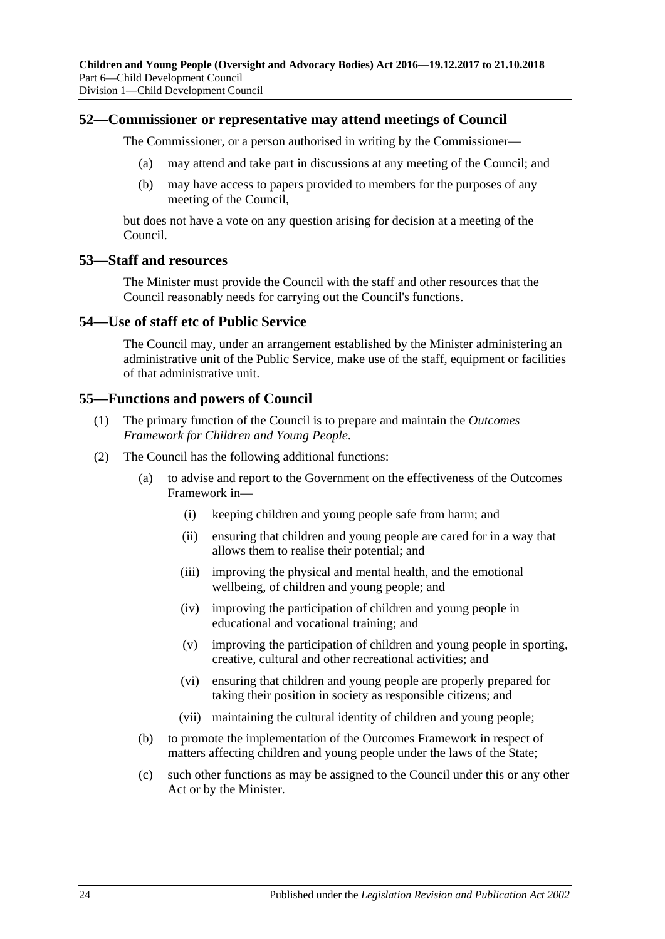#### <span id="page-23-0"></span>**52—Commissioner or representative may attend meetings of Council**

The Commissioner, or a person authorised in writing by the Commissioner—

- (a) may attend and take part in discussions at any meeting of the Council; and
- (b) may have access to papers provided to members for the purposes of any meeting of the Council,

but does not have a vote on any question arising for decision at a meeting of the Council.

#### <span id="page-23-1"></span>**53—Staff and resources**

The Minister must provide the Council with the staff and other resources that the Council reasonably needs for carrying out the Council's functions.

#### <span id="page-23-2"></span>**54—Use of staff etc of Public Service**

The Council may, under an arrangement established by the Minister administering an administrative unit of the Public Service, make use of the staff, equipment or facilities of that administrative unit.

#### <span id="page-23-3"></span>**55—Functions and powers of Council**

- (1) The primary function of the Council is to prepare and maintain the *Outcomes Framework for Children and Young People*.
- (2) The Council has the following additional functions:
	- (a) to advise and report to the Government on the effectiveness of the Outcomes Framework in—
		- (i) keeping children and young people safe from harm; and
		- (ii) ensuring that children and young people are cared for in a way that allows them to realise their potential; and
		- (iii) improving the physical and mental health, and the emotional wellbeing, of children and young people; and
		- (iv) improving the participation of children and young people in educational and vocational training; and
		- (v) improving the participation of children and young people in sporting, creative, cultural and other recreational activities; and
		- (vi) ensuring that children and young people are properly prepared for taking their position in society as responsible citizens; and
		- (vii) maintaining the cultural identity of children and young people;
	- (b) to promote the implementation of the Outcomes Framework in respect of matters affecting children and young people under the laws of the State;
	- (c) such other functions as may be assigned to the Council under this or any other Act or by the Minister.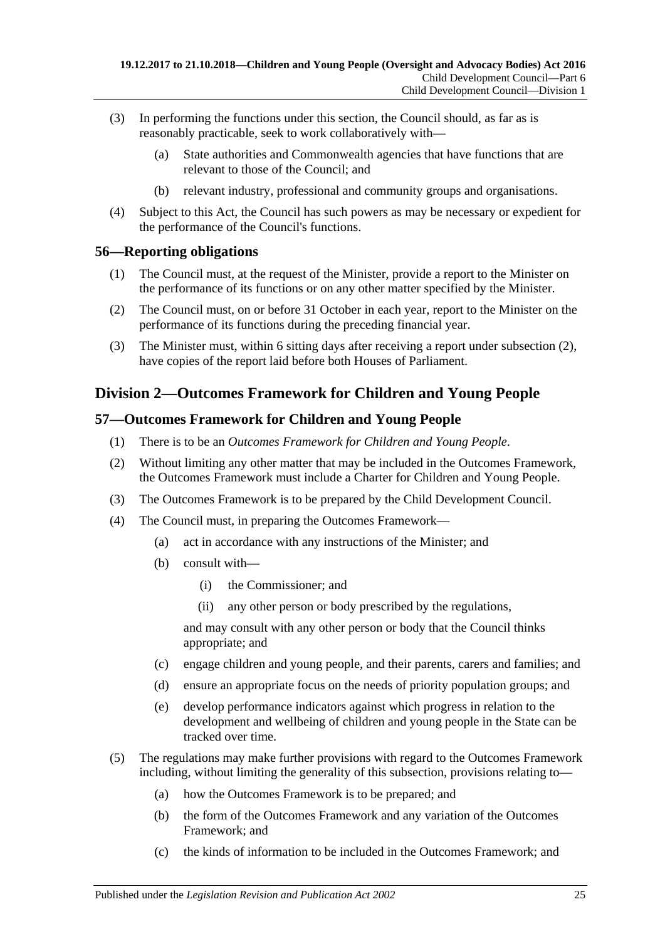- (3) In performing the functions under this section, the Council should, as far as is reasonably practicable, seek to work collaboratively with—
	- (a) State authorities and Commonwealth agencies that have functions that are relevant to those of the Council; and
	- (b) relevant industry, professional and community groups and organisations.
- (4) Subject to this Act, the Council has such powers as may be necessary or expedient for the performance of the Council's functions.

## <span id="page-24-0"></span>**56—Reporting obligations**

- (1) The Council must, at the request of the Minister, provide a report to the Minister on the performance of its functions or on any other matter specified by the Minister.
- <span id="page-24-3"></span>(2) The Council must, on or before 31 October in each year, report to the Minister on the performance of its functions during the preceding financial year.
- (3) The Minister must, within 6 sitting days after receiving a report under [subsection](#page-24-3) (2), have copies of the report laid before both Houses of Parliament.

## <span id="page-24-1"></span>**Division 2—Outcomes Framework for Children and Young People**

## <span id="page-24-2"></span>**57—Outcomes Framework for Children and Young People**

- (1) There is to be an *Outcomes Framework for Children and Young People*.
- (2) Without limiting any other matter that may be included in the Outcomes Framework, the Outcomes Framework must include a Charter for Children and Young People.
- (3) The Outcomes Framework is to be prepared by the Child Development Council.
- (4) The Council must, in preparing the Outcomes Framework—
	- (a) act in accordance with any instructions of the Minister; and
	- (b) consult with—
		- (i) the Commissioner; and
		- (ii) any other person or body prescribed by the regulations,

and may consult with any other person or body that the Council thinks appropriate; and

- (c) engage children and young people, and their parents, carers and families; and
- (d) ensure an appropriate focus on the needs of priority population groups; and
- (e) develop performance indicators against which progress in relation to the development and wellbeing of children and young people in the State can be tracked over time.
- (5) The regulations may make further provisions with regard to the Outcomes Framework including, without limiting the generality of this subsection, provisions relating to—
	- (a) how the Outcomes Framework is to be prepared; and
	- (b) the form of the Outcomes Framework and any variation of the Outcomes Framework; and
	- (c) the kinds of information to be included in the Outcomes Framework; and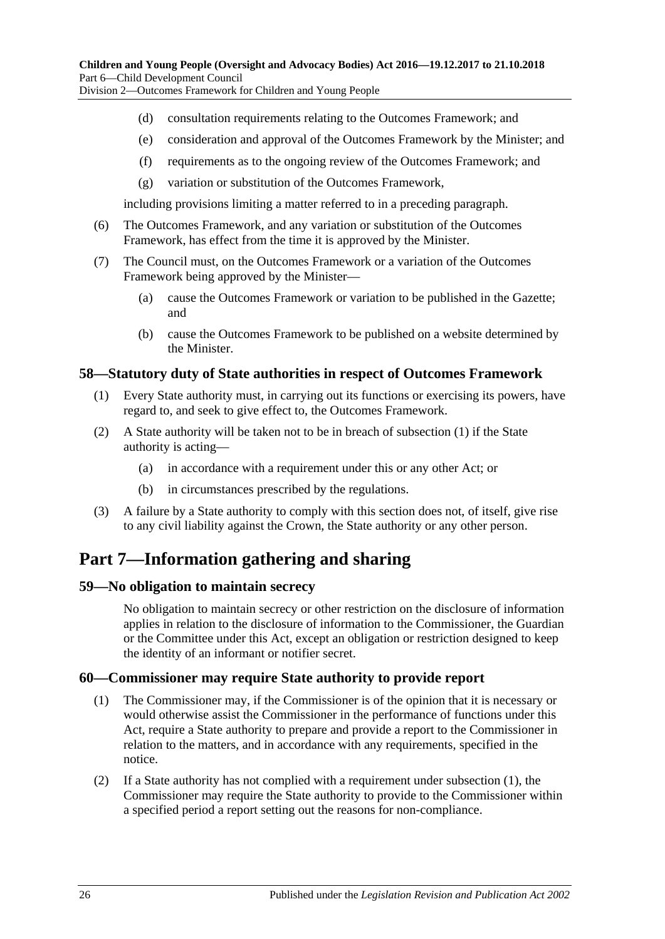Division 2—Outcomes Framework for Children and Young People

- (d) consultation requirements relating to the Outcomes Framework; and
- (e) consideration and approval of the Outcomes Framework by the Minister; and
- (f) requirements as to the ongoing review of the Outcomes Framework; and
- (g) variation or substitution of the Outcomes Framework,

including provisions limiting a matter referred to in a preceding paragraph.

- (6) The Outcomes Framework, and any variation or substitution of the Outcomes Framework, has effect from the time it is approved by the Minister.
- (7) The Council must, on the Outcomes Framework or a variation of the Outcomes Framework being approved by the Minister—
	- (a) cause the Outcomes Framework or variation to be published in the Gazette; and
	- (b) cause the Outcomes Framework to be published on a website determined by the Minister.

#### <span id="page-25-4"></span><span id="page-25-0"></span>**58—Statutory duty of State authorities in respect of Outcomes Framework**

- (1) Every State authority must, in carrying out its functions or exercising its powers, have regard to, and seek to give effect to, the Outcomes Framework.
- (2) A State authority will be taken not to be in breach of [subsection](#page-25-4) (1) if the State authority is acting—
	- (a) in accordance with a requirement under this or any other Act; or
	- (b) in circumstances prescribed by the regulations.
- (3) A failure by a State authority to comply with this section does not, of itself, give rise to any civil liability against the Crown, the State authority or any other person.

# <span id="page-25-1"></span>**Part 7—Information gathering and sharing**

## <span id="page-25-2"></span>**59—No obligation to maintain secrecy**

No obligation to maintain secrecy or other restriction on the disclosure of information applies in relation to the disclosure of information to the Commissioner, the Guardian or the Committee under this Act, except an obligation or restriction designed to keep the identity of an informant or notifier secret.

## <span id="page-25-5"></span><span id="page-25-3"></span>**60—Commissioner may require State authority to provide report**

- (1) The Commissioner may, if the Commissioner is of the opinion that it is necessary or would otherwise assist the Commissioner in the performance of functions under this Act, require a State authority to prepare and provide a report to the Commissioner in relation to the matters, and in accordance with any requirements, specified in the notice.
- <span id="page-25-6"></span>(2) If a State authority has not complied with a requirement under [subsection](#page-25-5) (1), the Commissioner may require the State authority to provide to the Commissioner within a specified period a report setting out the reasons for non-compliance.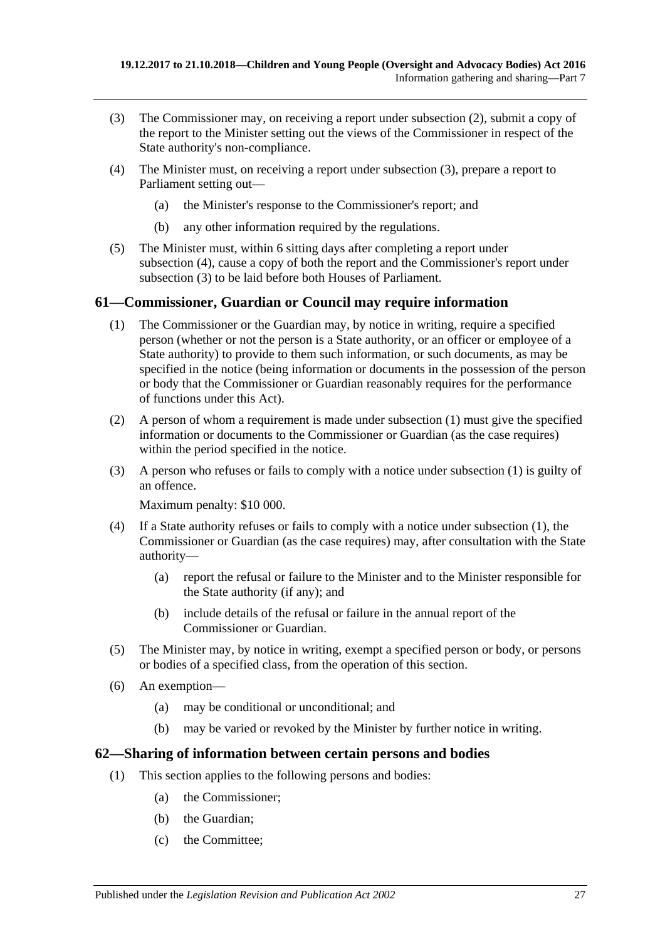- <span id="page-26-2"></span>(3) The Commissioner may, on receiving a report under [subsection](#page-25-6) (2), submit a copy of the report to the Minister setting out the views of the Commissioner in respect of the State authority's non-compliance.
- <span id="page-26-3"></span>(4) The Minister must, on receiving a report under [subsection](#page-26-2) (3), prepare a report to Parliament setting out—
	- (a) the Minister's response to the Commissioner's report; and
	- (b) any other information required by the regulations.
- (5) The Minister must, within 6 sitting days after completing a report under [subsection](#page-26-3) (4), cause a copy of both the report and the Commissioner's report under [subsection](#page-26-2) (3) to be laid before both Houses of Parliament.

## <span id="page-26-4"></span><span id="page-26-0"></span>**61—Commissioner, Guardian or Council may require information**

- (1) The Commissioner or the Guardian may, by notice in writing, require a specified person (whether or not the person is a State authority, or an officer or employee of a State authority) to provide to them such information, or such documents, as may be specified in the notice (being information or documents in the possession of the person or body that the Commissioner or Guardian reasonably requires for the performance of functions under this Act).
- (2) A person of whom a requirement is made under [subsection](#page-26-4) (1) must give the specified information or documents to the Commissioner or Guardian (as the case requires) within the period specified in the notice.
- (3) A person who refuses or fails to comply with a notice under [subsection](#page-26-4) (1) is guilty of an offence.

Maximum penalty: \$10 000.

- (4) If a State authority refuses or fails to comply with a notice under [subsection](#page-26-4) (1), the Commissioner or Guardian (as the case requires) may, after consultation with the State authority—
	- (a) report the refusal or failure to the Minister and to the Minister responsible for the State authority (if any); and
	- (b) include details of the refusal or failure in the annual report of the Commissioner or Guardian.
- (5) The Minister may, by notice in writing, exempt a specified person or body, or persons or bodies of a specified class, from the operation of this section.
- (6) An exemption—
	- (a) may be conditional or unconditional; and
	- (b) may be varied or revoked by the Minister by further notice in writing.

#### <span id="page-26-1"></span>**62—Sharing of information between certain persons and bodies**

- (1) This section applies to the following persons and bodies:
	- (a) the Commissioner;
	- (b) the Guardian;
	- (c) the Committee;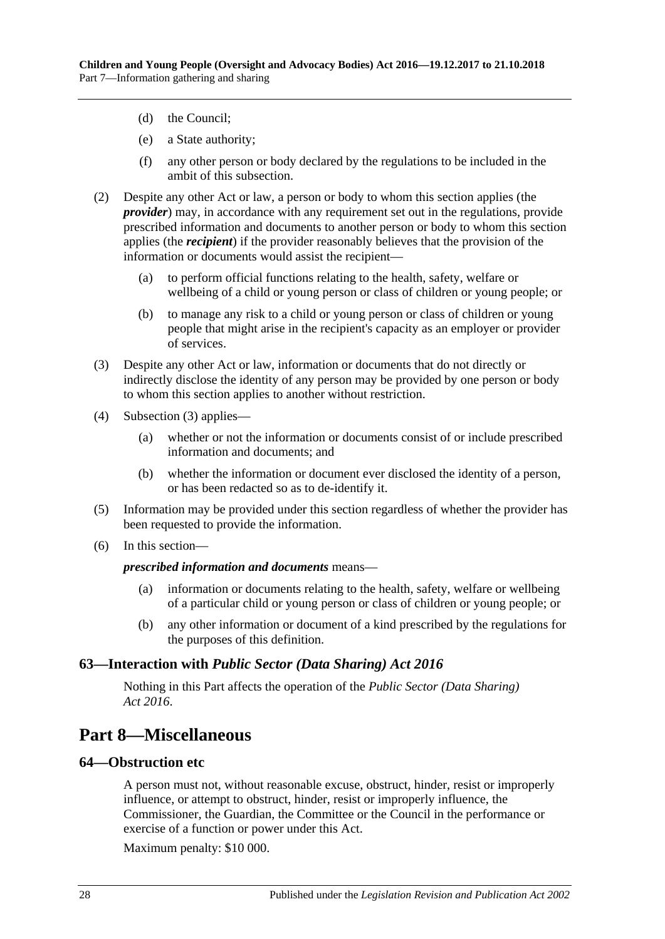- (d) the Council;
- (e) a State authority;
- (f) any other person or body declared by the regulations to be included in the ambit of this subsection.
- (2) Despite any other Act or law, a person or body to whom this section applies (the *provider*) may, in accordance with any requirement set out in the regulations, provide prescribed information and documents to another person or body to whom this section applies (the *recipient*) if the provider reasonably believes that the provision of the information or documents would assist the recipient—
	- (a) to perform official functions relating to the health, safety, welfare or wellbeing of a child or young person or class of children or young people; or
	- (b) to manage any risk to a child or young person or class of children or young people that might arise in the recipient's capacity as an employer or provider of services.
- <span id="page-27-3"></span>(3) Despite any other Act or law, information or documents that do not directly or indirectly disclose the identity of any person may be provided by one person or body to whom this section applies to another without restriction.
- (4) [Subsection](#page-27-3) (3) applies—
	- (a) whether or not the information or documents consist of or include prescribed information and documents; and
	- (b) whether the information or document ever disclosed the identity of a person, or has been redacted so as to de-identify it.
- (5) Information may be provided under this section regardless of whether the provider has been requested to provide the information.
- (6) In this section—

#### *prescribed information and documents* means—

- (a) information or documents relating to the health, safety, welfare or wellbeing of a particular child or young person or class of children or young people; or
- (b) any other information or document of a kind prescribed by the regulations for the purposes of this definition.

#### <span id="page-27-0"></span>**63—Interaction with** *Public Sector (Data Sharing) Act 2016*

Nothing in this Part affects the operation of the *[Public Sector \(Data Sharing\)](http://www.legislation.sa.gov.au/index.aspx?action=legref&type=act&legtitle=Public%20Sector%20(Data%20Sharing)%20Act%202016)  Act [2016](http://www.legislation.sa.gov.au/index.aspx?action=legref&type=act&legtitle=Public%20Sector%20(Data%20Sharing)%20Act%202016)*.

## <span id="page-27-1"></span>**Part 8—Miscellaneous**

#### <span id="page-27-2"></span>**64—Obstruction etc**

A person must not, without reasonable excuse, obstruct, hinder, resist or improperly influence, or attempt to obstruct, hinder, resist or improperly influence, the Commissioner, the Guardian, the Committee or the Council in the performance or exercise of a function or power under this Act.

Maximum penalty: \$10 000.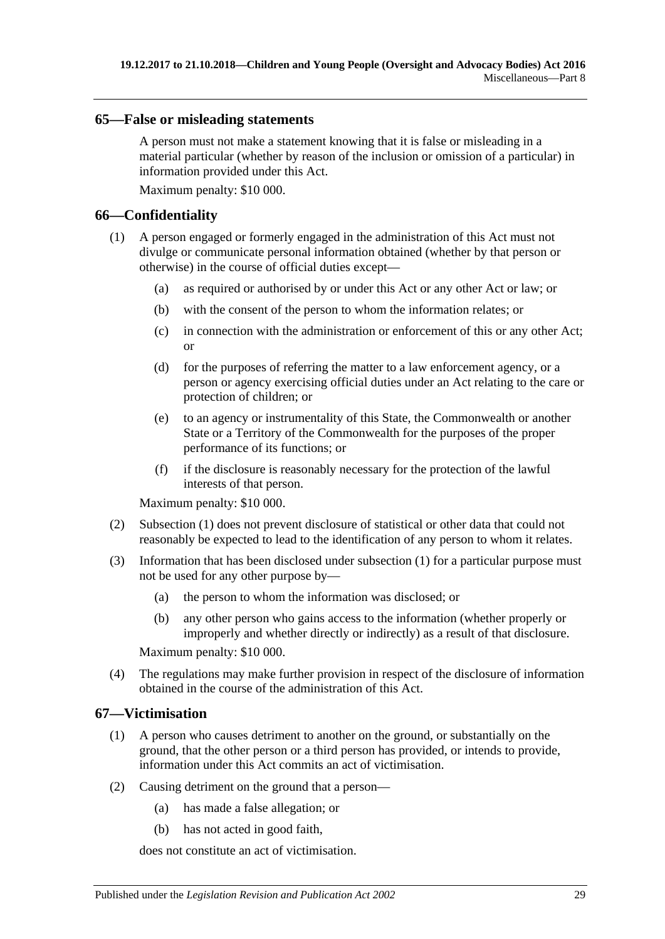#### <span id="page-28-0"></span>**65—False or misleading statements**

A person must not make a statement knowing that it is false or misleading in a material particular (whether by reason of the inclusion or omission of a particular) in information provided under this Act.

Maximum penalty: \$10 000.

## <span id="page-28-3"></span><span id="page-28-1"></span>**66—Confidentiality**

- (1) A person engaged or formerly engaged in the administration of this Act must not divulge or communicate personal information obtained (whether by that person or otherwise) in the course of official duties except—
	- (a) as required or authorised by or under this Act or any other Act or law; or
	- (b) with the consent of the person to whom the information relates; or
	- (c) in connection with the administration or enforcement of this or any other Act; or
	- (d) for the purposes of referring the matter to a law enforcement agency, or a person or agency exercising official duties under an Act relating to the care or protection of children; or
	- (e) to an agency or instrumentality of this State, the Commonwealth or another State or a Territory of the Commonwealth for the purposes of the proper performance of its functions; or
	- (f) if the disclosure is reasonably necessary for the protection of the lawful interests of that person.

Maximum penalty: \$10 000.

- (2) [Subsection](#page-28-3) (1) does not prevent disclosure of statistical or other data that could not reasonably be expected to lead to the identification of any person to whom it relates.
- (3) Information that has been disclosed under [subsection](#page-28-3) (1) for a particular purpose must not be used for any other purpose by—
	- (a) the person to whom the information was disclosed; or
	- (b) any other person who gains access to the information (whether properly or improperly and whether directly or indirectly) as a result of that disclosure.

Maximum penalty: \$10 000.

(4) The regulations may make further provision in respect of the disclosure of information obtained in the course of the administration of this Act.

## <span id="page-28-2"></span>**67—Victimisation**

- (1) A person who causes detriment to another on the ground, or substantially on the ground, that the other person or a third person has provided, or intends to provide, information under this Act commits an act of victimisation.
- (2) Causing detriment on the ground that a person—
	- (a) has made a false allegation; or
	- (b) has not acted in good faith,

does not constitute an act of victimisation.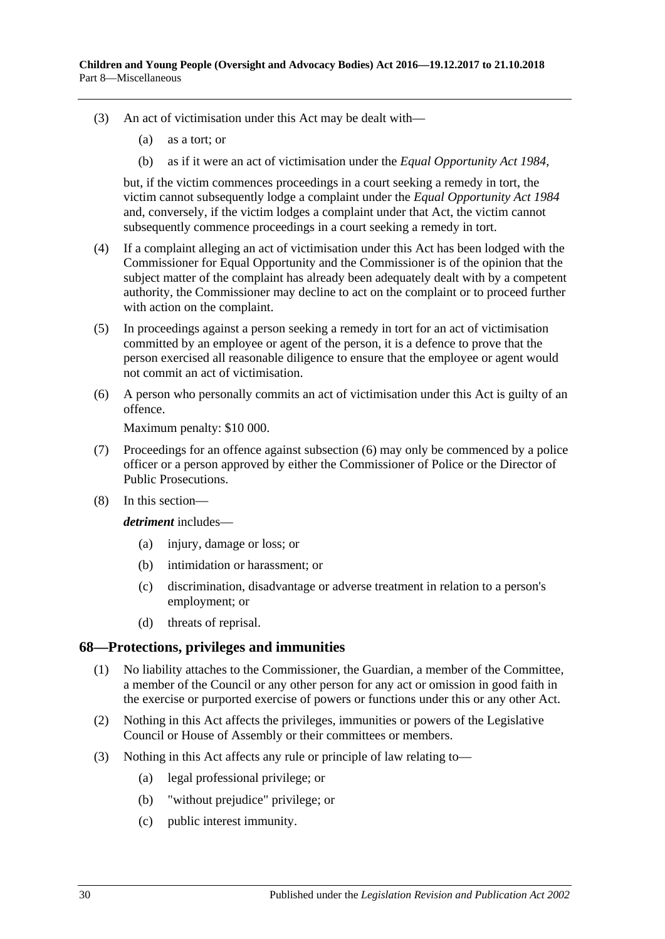- (3) An act of victimisation under this Act may be dealt with—
	- (a) as a tort; or
	- (b) as if it were an act of victimisation under the *[Equal Opportunity Act](http://www.legislation.sa.gov.au/index.aspx?action=legref&type=act&legtitle=Equal%20Opportunity%20Act%201984) 1984*,

but, if the victim commences proceedings in a court seeking a remedy in tort, the victim cannot subsequently lodge a complaint under the *[Equal Opportunity Act](http://www.legislation.sa.gov.au/index.aspx?action=legref&type=act&legtitle=Equal%20Opportunity%20Act%201984) 1984* and, conversely, if the victim lodges a complaint under that Act, the victim cannot subsequently commence proceedings in a court seeking a remedy in tort.

- (4) If a complaint alleging an act of victimisation under this Act has been lodged with the Commissioner for Equal Opportunity and the Commissioner is of the opinion that the subject matter of the complaint has already been adequately dealt with by a competent authority, the Commissioner may decline to act on the complaint or to proceed further with action on the complaint.
- (5) In proceedings against a person seeking a remedy in tort for an act of victimisation committed by an employee or agent of the person, it is a defence to prove that the person exercised all reasonable diligence to ensure that the employee or agent would not commit an act of victimisation.
- <span id="page-29-1"></span>(6) A person who personally commits an act of victimisation under this Act is guilty of an offence.

Maximum penalty: \$10 000.

- (7) Proceedings for an offence against [subsection](#page-29-1) (6) may only be commenced by a police officer or a person approved by either the Commissioner of Police or the Director of Public Prosecutions.
- (8) In this section—

*detriment* includes—

- (a) injury, damage or loss; or
- (b) intimidation or harassment; or
- (c) discrimination, disadvantage or adverse treatment in relation to a person's employment; or
- (d) threats of reprisal.

#### <span id="page-29-0"></span>**68—Protections, privileges and immunities**

- (1) No liability attaches to the Commissioner, the Guardian, a member of the Committee, a member of the Council or any other person for any act or omission in good faith in the exercise or purported exercise of powers or functions under this or any other Act.
- (2) Nothing in this Act affects the privileges, immunities or powers of the Legislative Council or House of Assembly or their committees or members.
- (3) Nothing in this Act affects any rule or principle of law relating to—
	- (a) legal professional privilege; or
	- (b) "without prejudice" privilege; or
	- (c) public interest immunity.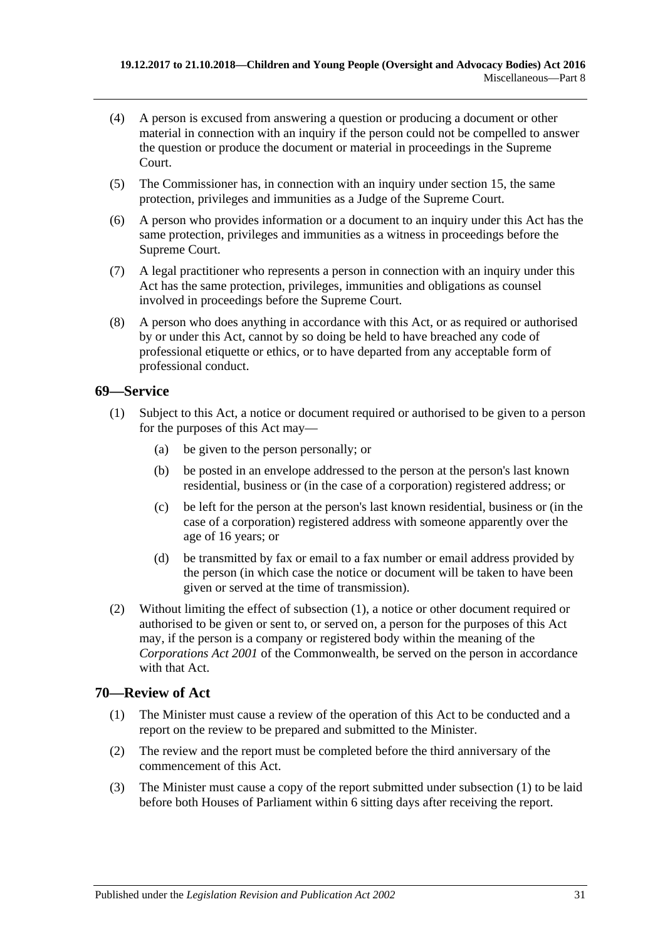- (4) A person is excused from answering a question or producing a document or other material in connection with an inquiry if the person could not be compelled to answer the question or produce the document or material in proceedings in the Supreme Court.
- (5) The Commissioner has, in connection with an inquiry under [section](#page-7-3) 15, the same protection, privileges and immunities as a Judge of the Supreme Court.
- (6) A person who provides information or a document to an inquiry under this Act has the same protection, privileges and immunities as a witness in proceedings before the Supreme Court.
- (7) A legal practitioner who represents a person in connection with an inquiry under this Act has the same protection, privileges, immunities and obligations as counsel involved in proceedings before the Supreme Court.
- (8) A person who does anything in accordance with this Act, or as required or authorised by or under this Act, cannot by so doing be held to have breached any code of professional etiquette or ethics, or to have departed from any acceptable form of professional conduct.

## <span id="page-30-2"></span><span id="page-30-0"></span>**69—Service**

- (1) Subject to this Act, a notice or document required or authorised to be given to a person for the purposes of this Act may—
	- (a) be given to the person personally; or
	- (b) be posted in an envelope addressed to the person at the person's last known residential, business or (in the case of a corporation) registered address; or
	- (c) be left for the person at the person's last known residential, business or (in the case of a corporation) registered address with someone apparently over the age of 16 years; or
	- (d) be transmitted by fax or email to a fax number or email address provided by the person (in which case the notice or document will be taken to have been given or served at the time of transmission).
- (2) Without limiting the effect of [subsection](#page-30-2) (1), a notice or other document required or authorised to be given or sent to, or served on, a person for the purposes of this Act may, if the person is a company or registered body within the meaning of the *Corporations Act 2001* of the Commonwealth, be served on the person in accordance with that Act.

## <span id="page-30-3"></span><span id="page-30-1"></span>**70—Review of Act**

- (1) The Minister must cause a review of the operation of this Act to be conducted and a report on the review to be prepared and submitted to the Minister.
- (2) The review and the report must be completed before the third anniversary of the commencement of this Act.
- (3) The Minister must cause a copy of the report submitted under [subsection](#page-30-3) (1) to be laid before both Houses of Parliament within 6 sitting days after receiving the report.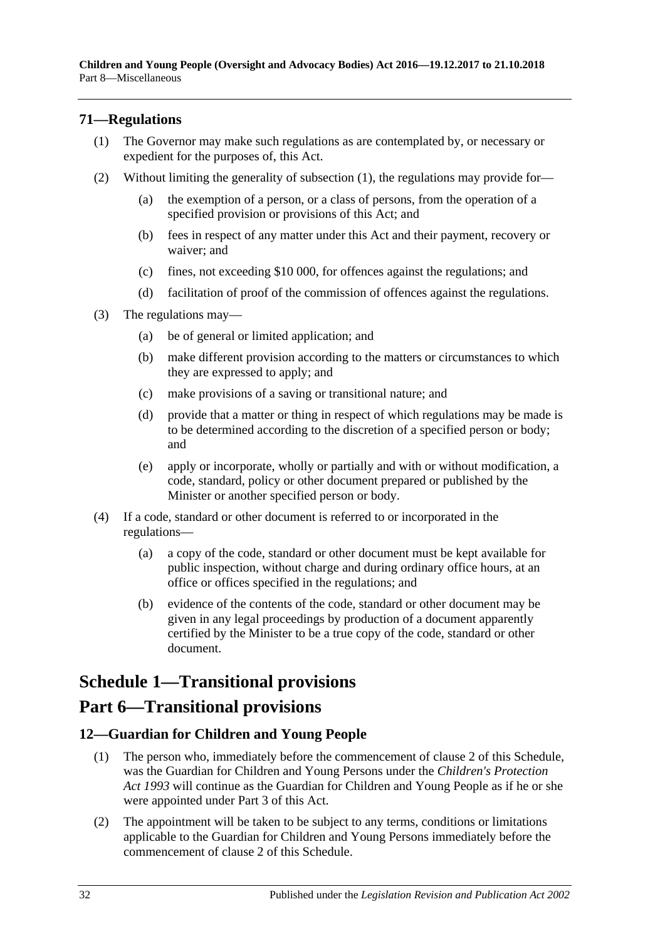## <span id="page-31-3"></span><span id="page-31-0"></span>**71—Regulations**

- (1) The Governor may make such regulations as are contemplated by, or necessary or expedient for the purposes of, this Act.
- (2) Without limiting the generality of [subsection](#page-31-3) (1), the regulations may provide for—
	- (a) the exemption of a person, or a class of persons, from the operation of a specified provision or provisions of this Act; and
	- (b) fees in respect of any matter under this Act and their payment, recovery or waiver; and
	- (c) fines, not exceeding \$10 000, for offences against the regulations; and
	- (d) facilitation of proof of the commission of offences against the regulations.
- (3) The regulations may—
	- (a) be of general or limited application; and
	- (b) make different provision according to the matters or circumstances to which they are expressed to apply; and
	- (c) make provisions of a saving or transitional nature; and
	- (d) provide that a matter or thing in respect of which regulations may be made is to be determined according to the discretion of a specified person or body; and
	- (e) apply or incorporate, wholly or partially and with or without modification, a code, standard, policy or other document prepared or published by the Minister or another specified person or body.
- (4) If a code, standard or other document is referred to or incorporated in the regulations—
	- (a) a copy of the code, standard or other document must be kept available for public inspection, without charge and during ordinary office hours, at an office or offices specified in the regulations; and
	- (b) evidence of the contents of the code, standard or other document may be given in any legal proceedings by production of a document apparently certified by the Minister to be a true copy of the code, standard or other document.

# <span id="page-31-1"></span>**Schedule 1—Transitional provisions**

## **Part 6—Transitional provisions**

## <span id="page-31-2"></span>**12—Guardian for Children and Young People**

- (1) The person who, immediately before the commencement of clause 2 of this Schedule, was the Guardian for Children and Young Persons under the *[Children's Protection](http://www.legislation.sa.gov.au/index.aspx?action=legref&type=act&legtitle=Childrens%20Protection%20Act%201993)  Act [1993](http://www.legislation.sa.gov.au/index.aspx?action=legref&type=act&legtitle=Childrens%20Protection%20Act%201993)* will continue as the Guardian for Children and Young People as if he or she were appointed under [Part](#page-10-4) 3 of this Act.
- (2) The appointment will be taken to be subject to any terms, conditions or limitations applicable to the Guardian for Children and Young Persons immediately before the commencement of clause 2 of this Schedule.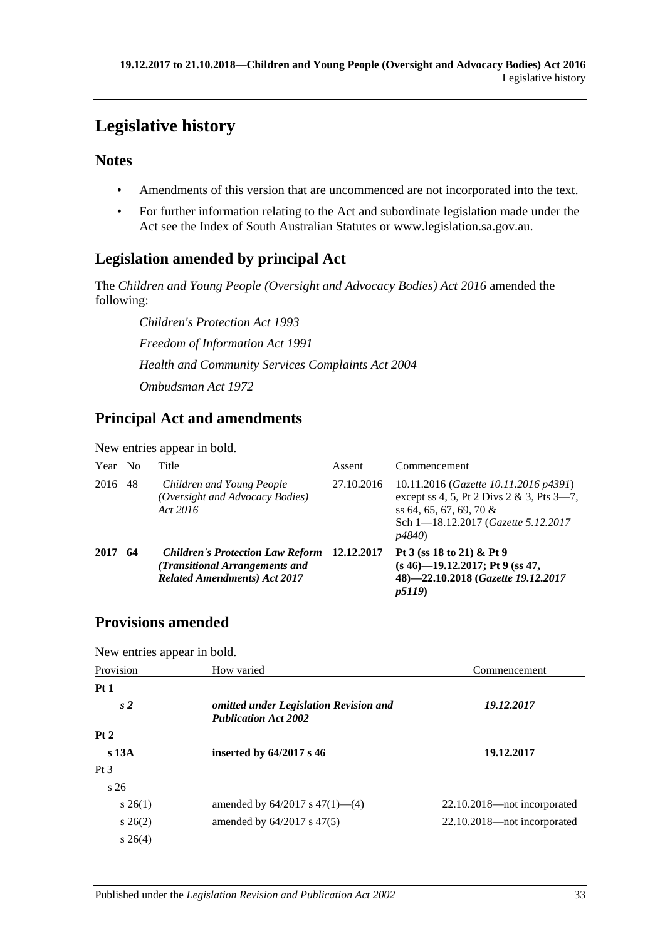# <span id="page-32-0"></span>**Legislative history**

## **Notes**

- Amendments of this version that are uncommenced are not incorporated into the text.
- For further information relating to the Act and subordinate legislation made under the Act see the Index of South Australian Statutes or www.legislation.sa.gov.au.

## **Legislation amended by principal Act**

The *Children and Young People (Oversight and Advocacy Bodies) Act 2016* amended the following:

*Children's Protection Act 1993 Freedom of Information Act 1991 Health and Community Services Complaints Act 2004 Ombudsman Act 1972*

## **Principal Act and amendments**

New entries appear in bold.

| Year No |    | Title                                                                                                            | Assent     | Commencement                                                                                                                                                                      |
|---------|----|------------------------------------------------------------------------------------------------------------------|------------|-----------------------------------------------------------------------------------------------------------------------------------------------------------------------------------|
| 2016    | 48 | Children and Young People<br>(Oversight and Advocacy Bodies)<br>Act 2016                                         | 27.10.2016 | 10.11.2016 (Gazette 10.11.2016 p4391)<br>except ss 4, 5, Pt 2 Divs $2 & 3$ , Pts $3 - 7$ ,<br>ss 64, 65, 67, 69, 70 $\&$<br>Sch 1-18.12.2017 (Gazette 5.12.2017<br><i>p4840</i> ) |
| 2017    | 64 | <b>Children's Protection Law Reform</b><br>(Transitional Arrangements and<br><b>Related Amendments) Act 2017</b> | 12.12.2017 | Pt 3 (ss 18 to 21) & Pt 9<br>$(s 46)$ -19.12.2017; Pt 9 (ss 47,<br>48)-22.10.2018 (Gazette 19.12.2017<br><i>p5119</i> )                                                           |

## **Provisions amended**

New entries appear in bold.

| Provision        | How varied                                                            | Commencement                |
|------------------|-----------------------------------------------------------------------|-----------------------------|
| Pt1              |                                                                       |                             |
| s <sub>2</sub>   | omitted under Legislation Revision and<br><b>Publication Act 2002</b> | 19.12.2017                  |
| Pt2              |                                                                       |                             |
| s <sub>13A</sub> | inserted by 64/2017 s 46                                              | 19.12.2017                  |
| Pt <sub>3</sub>  |                                                                       |                             |
| s <sub>26</sub>  |                                                                       |                             |
| $s\,26(1)$       | amended by $64/2017$ s $47(1)$ — $(4)$                                | 22.10.2018—not incorporated |
| $s \, 26(2)$     | amended by $64/2017$ s $47(5)$                                        | 22.10.2018—not incorporated |
| $s \; 26(4)$     |                                                                       |                             |